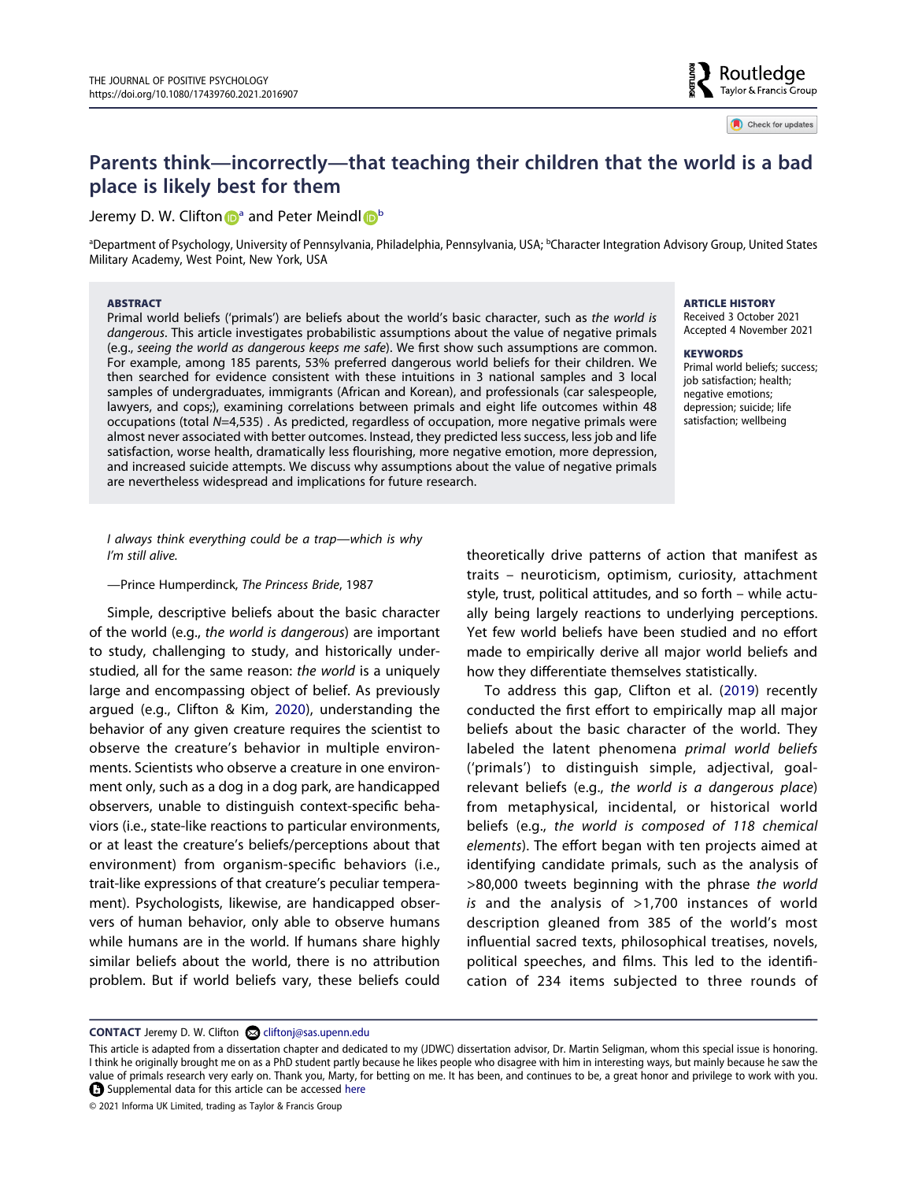Routledae Taylor & Francis Group

Check for updates

# **Parents think—incorrectly—that teaching their children that the world is a bad place is likely best for them**

### Jeremy D. W. C[l](http://orcid.org/0000-0002-2686-3723)ifton  $\mathbb{D}^a$  $\mathbb{D}^a$  $\mathbb{D}^a$  and Peter Meindl  $\mathbb{D}^b$

<span id="page-0-0"></span>aDepartment of Psychology, University of Pennsylvania, Philadelphia, Pennsylvania, USA; <sup>b</sup>Character Integration Advisory Group, United States Military Academy, West Point, New York, USA

#### ABSTRACT

Primal world beliefs ('primals') are beliefs about the world's basic character, such as the world is dangerous. This article investigates probabilistic assumptions about the value of negative primals (e.g., seeing the world as dangerous keeps me safe). We first show such assumptions are common. For example, among 185 parents, 53% preferred dangerous world beliefs for their children. We then searched for evidence consistent with these intuitions in 3 national samples and 3 local samples of undergraduates, immigrants (African and Korean), and professionals (car salespeople, lawyers, and cops;), examining correlations between primals and eight life outcomes within 48 occupations (total N=4,535) . As predicted, regardless of occupation, more negative primals were almost never associated with better outcomes. Instead, they predicted less success, less job and life satisfaction, worse health, dramatically less flourishing, more negative emotion, more depression, and increased suicide attempts. We discuss why assumptions about the value of negative primals are nevertheless widespread and implications for future research.

#### ARTICLE HISTORY

Received 3 October 2021 Accepted 4 November 2021

#### **KEYWORDS**

Primal world beliefs; success; job satisfaction; health; negative emotions; depression; suicide; life satisfaction; wellbeing

I always think everything could be a trap—which is why I'm still alive.

—Prince Humperdinck, The Princess Bride, 1987

<span id="page-0-2"></span>Simple, descriptive beliefs about the basic character of the world (e.g., the world is dangerous) are important to study, challenging to study, and historically understudied, all for the same reason: the world is a uniquely large and encompassing object of belief. As previously argued (e.g., Clifton & Kim, [2020](#page-14-0)), understanding the behavior of any given creature requires the scientist to observe the creature's behavior in multiple environments. Scientists who observe a creature in one environment only, such as a dog in a dog park, are handicapped observers, unable to distinguish context-specific behaviors (i.e., state-like reactions to particular environments, or at least the creature's beliefs/perceptions about that environment) from organism-specific behaviors (i.e., trait-like expressions of that creature's peculiar temperament). Psychologists, likewise, are handicapped observers of human behavior, only able to observe humans while humans are in the world. If humans share highly similar beliefs about the world, there is no attribution problem. But if world beliefs vary, these beliefs could

theoretically drive patterns of action that manifest as traits – neuroticism, optimism, curiosity, attachment style, trust, political attitudes, and so forth – while actually being largely reactions to underlying perceptions. Yet few world beliefs have been studied and no effort made to empirically derive all major world beliefs and how they differentiate themselves statistically.

<span id="page-0-1"></span>To address this gap, Clifton et al. [\(2019](#page-14-1)) recently conducted the first effort to empirically map all major beliefs about the basic character of the world. They labeled the latent phenomena primal world beliefs ('primals') to distinguish simple, adjectival, goalrelevant beliefs (e.g., the world is a dangerous place) from metaphysical, incidental, or historical world beliefs (e.g., the world is composed of 118 chemical elements). The effort began with ten projects aimed at identifying candidate primals, such as the analysis of >80,000 tweets beginning with the phrase the world is and the analysis of  $>1,700$  instances of world description gleaned from 385 of the world's most influential sacred texts, philosophical treatises, novels, political speeches, and films. This led to the identification of 234 items subjected to three rounds of

**CONTACT** Jeremy D. W. Clifton and cliftonj@sas.upenn.edu

© 2021 Informa UK Limited, trading as Taylor & Francis Group

This article is adapted from a dissertation chapter and dedicated to my (JDWC) dissertation advisor, Dr. Martin Seligman, whom this special issue is honoring. I think he originally brought me on as a PhD student partly because he likes people who disagree with him in interesting ways, but mainly because he saw the value of primals research very early on. Thank you, Marty, for betting on me. It has been, and continues to be, a great honor and privilege to work with you. Supplemental data for this article can be accessed [here](https://doi.org/10.1080/17439760.2021.2016907)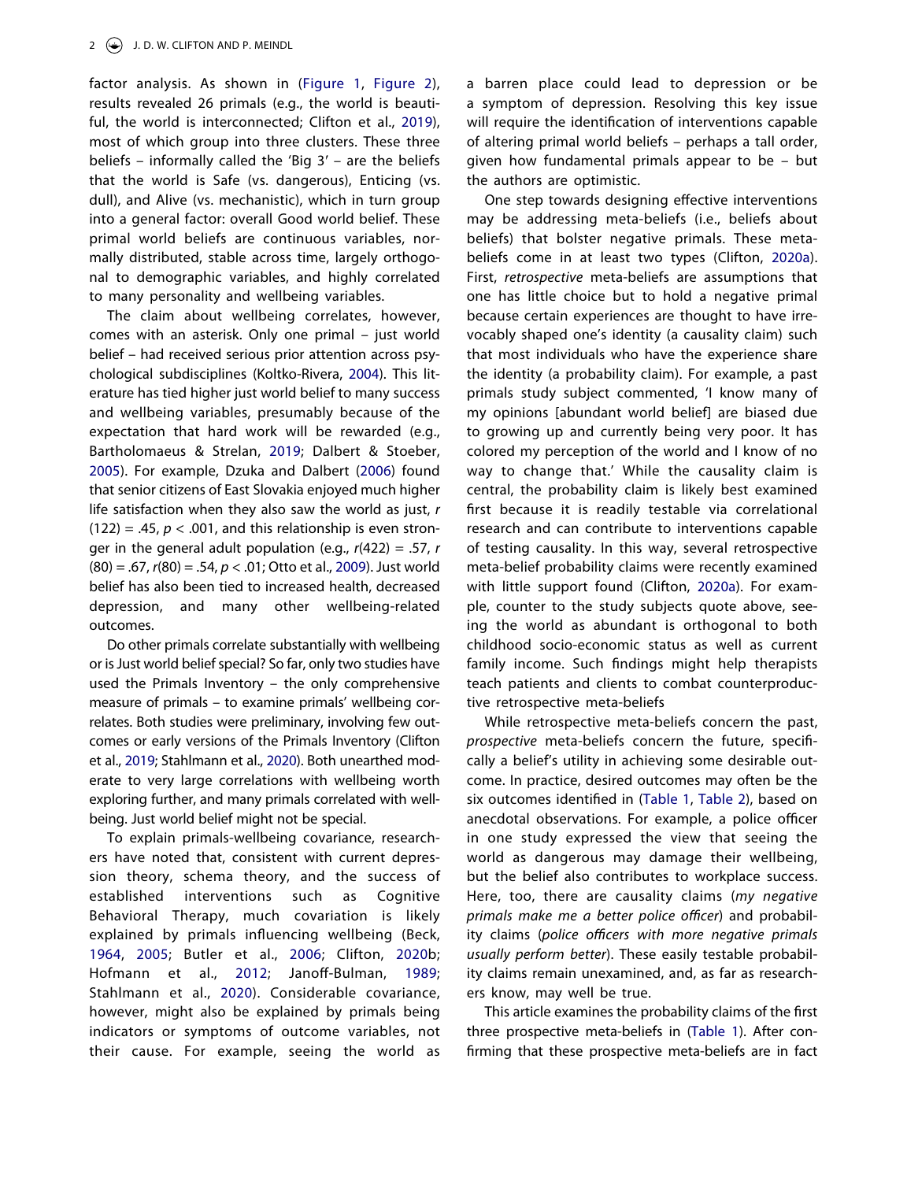factor analysis. As shown in ([Figure 1,](#page-4-0) [Figure 2\)](#page-5-0), results revealed 26 primals (e.g., the world is beauti-ful, the world is interconnected; Clifton et al., [2019\)](#page-14-1), most of which group into three clusters. These three beliefs – informally called the 'Big 3ʹ – are the beliefs that the world is Safe (vs. dangerous), Enticing (vs. dull), and Alive (vs. mechanistic), which in turn group into a general factor: overall Good world belief. These primal world beliefs are continuous variables, normally distributed, stable across time, largely orthogonal to demographic variables, and highly correlated to many personality and wellbeing variables.

<span id="page-1-6"></span><span id="page-1-4"></span><span id="page-1-0"></span>The claim about wellbeing correlates, however, comes with an asterisk. Only one primal – just world belief – had received serious prior attention across psychological subdisciplines (Koltko-Rivera, [2004\)](#page-15-0). This literature has tied higher just world belief to many success and wellbeing variables, presumably because of the expectation that hard work will be rewarded (e.g., Bartholomaeus & Strelan, [2019](#page-14-2); Dalbert & Stoeber, [2005\)](#page-14-3). For example, Dzuka and Dalbert ([2006\)](#page-14-4) found that senior citizens of East Slovakia enjoyed much higher life satisfaction when they also saw the world as just, r  $(122) = .45$ ,  $p < .001$ , and this relationship is even stronger in the general adult population (e.g.,  $r(422) = .57$ ,  $r$  $(80) = .67$ ,  $r(80) = .54$ ,  $p < .01$ ; Otto et al., [2009\)](#page-15-1). Just world belief has also been tied to increased health, decreased depression, and many other wellbeing-related outcomes.

<span id="page-1-7"></span>Do other primals correlate substantially with wellbeing or is Just world belief special? So far, only two studies have used the Primals Inventory – the only comprehensive measure of primals – to examine primals' wellbeing correlates. Both studies were preliminary, involving few outcomes or early versions of the Primals Inventory (Clifton et al., [2019](#page-14-1); Stahlmann et al., [2020](#page-15-2)). Both unearthed moderate to very large correlations with wellbeing worth exploring further, and many primals correlated with wellbeing. Just world belief might not be special.

<span id="page-1-8"></span><span id="page-1-5"></span><span id="page-1-2"></span><span id="page-1-1"></span>To explain primals-wellbeing covariance, researchers have noted that, consistent with current depression theory, schema theory, and the success of established interventions such as Cognitive Behavioral Therapy, much covariation is likely explained by primals influencing wellbeing (Beck, [1964,](#page-14-5) [2005](#page-14-6); Butler et al., [2006](#page-14-7); Clifton, [2020b](#page-14-8); Hofmann et al., [2012;](#page-15-3) Janoff-Bulman, [1989;](#page-15-4) Stahlmann et al., [2020\)](#page-15-2). Considerable covariance, however, might also be explained by primals being indicators or symptoms of outcome variables, not their cause. For example, seeing the world as a barren place could lead to depression or be a symptom of depression. Resolving this key issue will require the identification of interventions capable of altering primal world beliefs – perhaps a tall order, given how fundamental primals appear to be – but the authors are optimistic.

One step towards designing effective interventions may be addressing meta-beliefs (i.e., beliefs about beliefs) that bolster negative primals. These metabeliefs come in at least two types (Clifton, [2020a](#page-14-8)). First, retrospective meta-beliefs are assumptions that one has little choice but to hold a negative primal because certain experiences are thought to have irrevocably shaped one's identity (a causality claim) such that most individuals who have the experience share the identity (a probability claim). For example, a past primals study subject commented, 'I know many of my opinions [abundant world belief] are biased due to growing up and currently being very poor. It has colored my perception of the world and I know of no way to change that.' While the causality claim is central, the probability claim is likely best examined first because it is readily testable via correlational research and can contribute to interventions capable of testing causality. In this way, several retrospective meta-belief probability claims were recently examined with little support found (Clifton, [2020a\)](#page-14-8). For example, counter to the study subjects quote above, seeing the world as abundant is orthogonal to both childhood socio-economic status as well as current family income. Such findings might help therapists teach patients and clients to combat counterproductive retrospective meta-beliefs

<span id="page-1-3"></span>While retrospective meta-beliefs concern the past, prospective meta-beliefs concern the future, specifically a belief's utility in achieving some desirable outcome. In practice, desired outcomes may often be the six outcomes identified in [\(Table 1,](#page-2-0) [Table 2](#page-2-1)), based on anecdotal observations. For example, a police officer in one study expressed the view that seeing the world as dangerous may damage their wellbeing, but the belief also contributes to workplace success. Here, too, there are causality claims (my negative primals make me a better police officer) and probability claims (police officers with more negative primals usually perform better). These easily testable probability claims remain unexamined, and, as far as researchers know, may well be true.

This article examines the probability claims of the first three prospective meta-beliefs in ([Table 1\)](#page-2-0). After confirming that these prospective meta-beliefs are in fact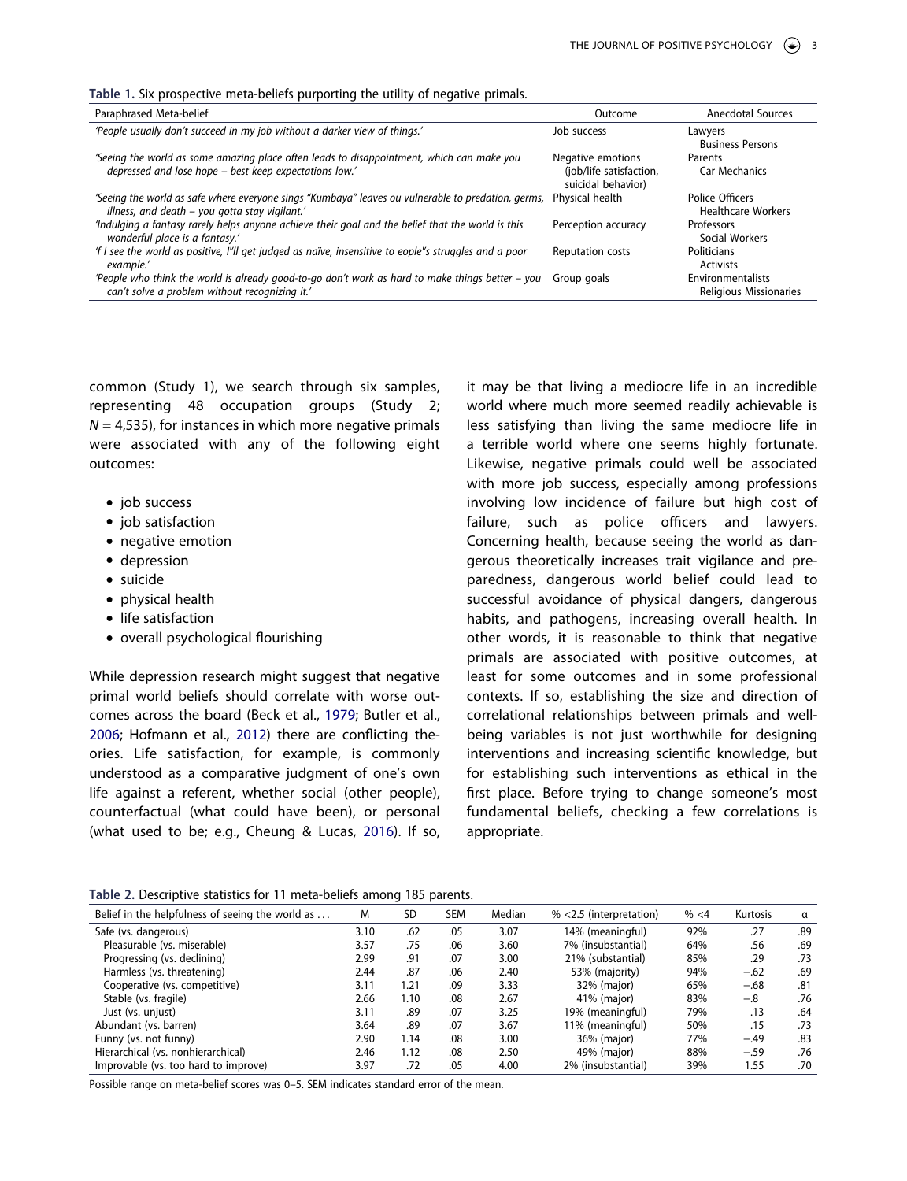<span id="page-2-0"></span>**Table 1.** Six prospective meta-beliefs purporting the utility of negative primals.

| Paraphrased Meta-belief                                                                                                                              | Outcome                                                            | <b>Anecdotal Sources</b>                     |
|------------------------------------------------------------------------------------------------------------------------------------------------------|--------------------------------------------------------------------|----------------------------------------------|
| 'People usually don't succeed in my job without a darker view of things.'                                                                            | Job success                                                        | Lawvers<br><b>Business Persons</b>           |
| 'Seeing the world as some amazing place often leads to disappointment, which can make you<br>depressed and lose hope – best keep expectations low.'  | Negative emotions<br>(job/life satisfaction,<br>suicidal behavior) | Parents<br><b>Car Mechanics</b>              |
| 'Seeing the world as safe where everyone sings "Kumbaya" leaves ou vulnerable to predation, germs,<br>illness, and death - you gotta stay vigilant.' | Physical health                                                    | Police Officers<br><b>Healthcare Workers</b> |
| 'Indulging a fantasy rarely helps anyone achieve their goal and the belief that the world is this<br>wonderful place is a fantasy.'                  | Perception accuracy                                                | Professors<br>Social Workers                 |
| 'f I see the world as positive, I''ll get judged as naïve, insensitive to eople"s struggles and a poor<br>example.'                                  | <b>Reputation costs</b>                                            | <b>Politicians</b><br><b>Activists</b>       |
| 'People who think the world is already good-to-go don't work as hard to make things better $-$ you<br>can't solve a problem without recognizing it.' | Group goals                                                        | Environmentalists<br>Religious Missionaries  |

common (Study 1), we search through six samples, representing 48 occupation groups (Study 2;  $N = 4,535$ ), for instances in which more negative primals were associated with any of the following eight outcomes:

- job success
- job satisfaction
- negative emotion
- depression
- suicide
- physical health
- life satisfaction
- overall psychological flourishing

<span id="page-2-2"></span>While depression research might suggest that negative primal world beliefs should correlate with worse outcomes across the board (Beck et al., [1979;](#page-14-9) Butler et al., [2006;](#page-14-7) Hofmann et al., [2012](#page-15-3)) there are conflicting theories. Life satisfaction, for example, is commonly understood as a comparative judgment of one's own life against a referent, whether social (other people), counterfactual (what could have been), or personal (what used to be; e.g., Cheung & Lucas, [2016\)](#page-14-10). If so, it may be that living a mediocre life in an incredible world where much more seemed readily achievable is less satisfying than living the same mediocre life in a terrible world where one seems highly fortunate. Likewise, negative primals could well be associated with more job success, especially among professions involving low incidence of failure but high cost of failure, such as police officers and lawyers. Concerning health, because seeing the world as dangerous theoretically increases trait vigilance and preparedness, dangerous world belief could lead to successful avoidance of physical dangers, dangerous habits, and pathogens, increasing overall health. In other words, it is reasonable to think that negative primals are associated with positive outcomes, at least for some outcomes and in some professional contexts. If so, establishing the size and direction of correlational relationships between primals and wellbeing variables is not just worthwhile for designing interventions and increasing scientific knowledge, but for establishing such interventions as ethical in the first place. Before trying to change someone's most fundamental beliefs, checking a few correlations is appropriate.

<span id="page-2-3"></span><span id="page-2-1"></span>

| Table 2. Descriptive statistics for 11 meta-beliefs among 185 parents. |  |  |  |  |  |
|------------------------------------------------------------------------|--|--|--|--|--|
|------------------------------------------------------------------------|--|--|--|--|--|

| Belief in the helpfulness of seeing the world as | M    | <b>SD</b> | <b>SEM</b> | Median | $% < 2.5$ (interpretation) | % < 4 | <b>Kurtosis</b> | α   |
|--------------------------------------------------|------|-----------|------------|--------|----------------------------|-------|-----------------|-----|
| Safe (vs. dangerous)                             | 3.10 | .62       | .05        | 3.07   | 14% (meaningful)           | 92%   | .27             | .89 |
| Pleasurable (vs. miserable)                      | 3.57 | .75       | .06        | 3.60   | 7% (insubstantial)         | 64%   | .56             | .69 |
| Progressing (vs. declining)                      | 2.99 | .91       | .07        | 3.00   | 21% (substantial)          | 85%   | .29             | .73 |
| Harmless (vs. threatening)                       | 2.44 | .87       | .06        | 2.40   | 53% (maiority)             | 94%   | $-.62$          | .69 |
| Cooperative (vs. competitive)                    | 3.11 | 1.21      | .09        | 3.33   | 32% (major)                | 65%   | $-.68$          | .81 |
| Stable (vs. fragile)                             | 2.66 | 1.10      | .08        | 2.67   | 41% (maior)                | 83%   | $-.8$           | .76 |
| Just (vs. unjust)                                | 3.11 | .89       | .07        | 3.25   | 19% (meaningful)           | 79%   | .13             | .64 |
| Abundant (vs. barren)                            | 3.64 | .89       | .07        | 3.67   | 11% (meaningful)           | 50%   | .15             | .73 |
| Funny (vs. not funny)                            | 2.90 | 1.14      | .08        | 3.00   | 36% (major)                | 77%   | $-.49$          | .83 |
| Hierarchical (vs. nonhierarchical)               | 2.46 | 1.12      | .08        | 2.50   | 49% (maior)                | 88%   | $-.59$          | .76 |
| Improvable (vs. too hard to improve)             | 3.97 | .72       | .05        | 4.00   | 2% (insubstantial)         | 39%   | 1.55            | .70 |

Possible range on meta-belief scores was 0–5. SEM indicates standard error of the mean.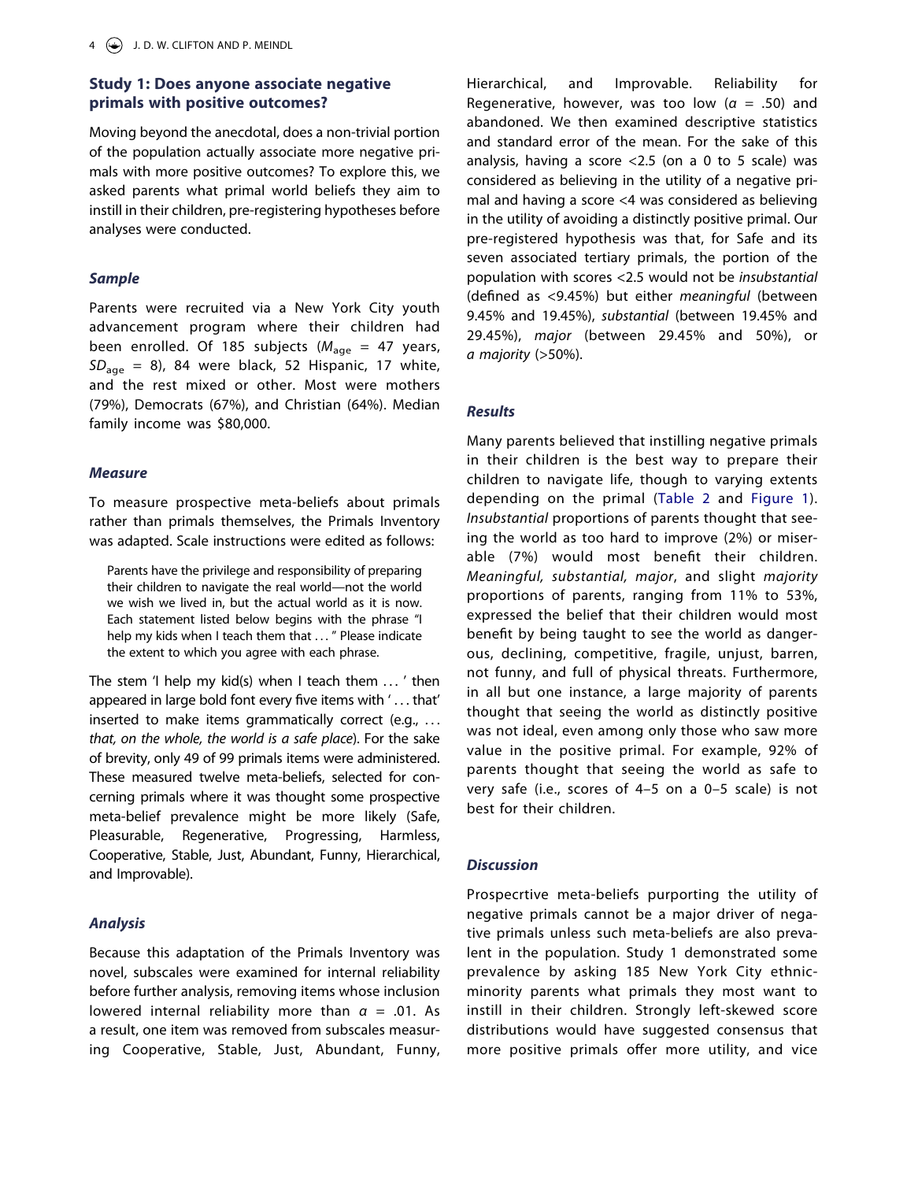# **Study 1: Does anyone associate negative primals with positive outcomes?**

Moving beyond the anecdotal, does a non-trivial portion of the population actually associate more negative primals with more positive outcomes? To explore this, we asked parents what primal world beliefs they aim to instill in their children, pre-registering hypotheses before analyses were conducted.

### **Sample**

Parents were recruited via a New York City youth advancement program where their children had been enrolled. Of 185 subjects ( $M_{\text{age}} = 47$  years,  $SD<sub>age</sub> = 8$ ), 84 were black, 52 Hispanic, 17 white, and the rest mixed or other. Most were mothers (79%), Democrats (67%), and Christian (64%). Median family income was \$80,000.

### **Measure**

To measure prospective meta-beliefs about primals rather than primals themselves, the Primals Inventory was adapted. Scale instructions were edited as follows:

Parents have the privilege and responsibility of preparing their children to navigate the real world—not the world we wish we lived in, but the actual world as it is now. Each statement listed below begins with the phrase "I help my kids when I teach them that . . . " Please indicate the extent to which you agree with each phrase.

The stem 'I help my kid(s) when I teach them . . . ' then appeared in large bold font every five items with ' . . . that' inserted to make items grammatically correct (e.g., ... that, on the whole, the world is a safe place). For the sake of brevity, only 49 of 99 primals items were administered. These measured twelve meta-beliefs, selected for concerning primals where it was thought some prospective meta-belief prevalence might be more likely (Safe, Pleasurable, Regenerative, Progressing, Harmless, Cooperative, Stable, Just, Abundant, Funny, Hierarchical, and Improvable).

## **Analysis**

Because this adaptation of the Primals Inventory was novel, subscales were examined for internal reliability before further analysis, removing items whose inclusion lowered internal reliability more than  $\alpha = .01$ . As a result, one item was removed from subscales measuring Cooperative, Stable, Just, Abundant, Funny, Hierarchical, and Improvable. Reliability for Regenerative, however, was too low ( $\alpha = .50$ ) and abandoned. We then examined descriptive statistics and standard error of the mean. For the sake of this analysis, having a score <2.5 (on a 0 to 5 scale) was considered as believing in the utility of a negative primal and having a score <4 was considered as believing in the utility of avoiding a distinctly positive primal. Our pre-registered hypothesis was that, for Safe and its seven associated tertiary primals, the portion of the population with scores <2.5 would not be insubstantial (defined as <9.45%) but either meaningful (between 9.45% and 19.45%), substantial (between 19.45% and 29.45%), major (between 29.45% and 50%), or a majority (>50%).

## **Results**

Many parents believed that instilling negative primals in their children is the best way to prepare their children to navigate life, though to varying extents depending on the primal ([Table 2](#page-2-1) and [Figure 1](#page-4-0)). Insubstantial proportions of parents thought that seeing the world as too hard to improve (2%) or miserable (7%) would most benefit their children. Meaningful, substantial, major, and slight majority proportions of parents, ranging from 11% to 53%, expressed the belief that their children would most benefit by being taught to see the world as dangerous, declining, competitive, fragile, unjust, barren, not funny, and full of physical threats. Furthermore, in all but one instance, a large majority of parents thought that seeing the world as distinctly positive was not ideal, even among only those who saw more value in the positive primal. For example, 92% of parents thought that seeing the world as safe to very safe (i.e., scores of 4–5 on a 0–5 scale) is not best for their children.

## **Discussion**

Prospecrtive meta-beliefs purporting the utility of negative primals cannot be a major driver of negative primals unless such meta-beliefs are also prevalent in the population. Study 1 demonstrated some prevalence by asking 185 New York City ethnicminority parents what primals they most want to instill in their children. Strongly left-skewed score distributions would have suggested consensus that more positive primals offer more utility, and vice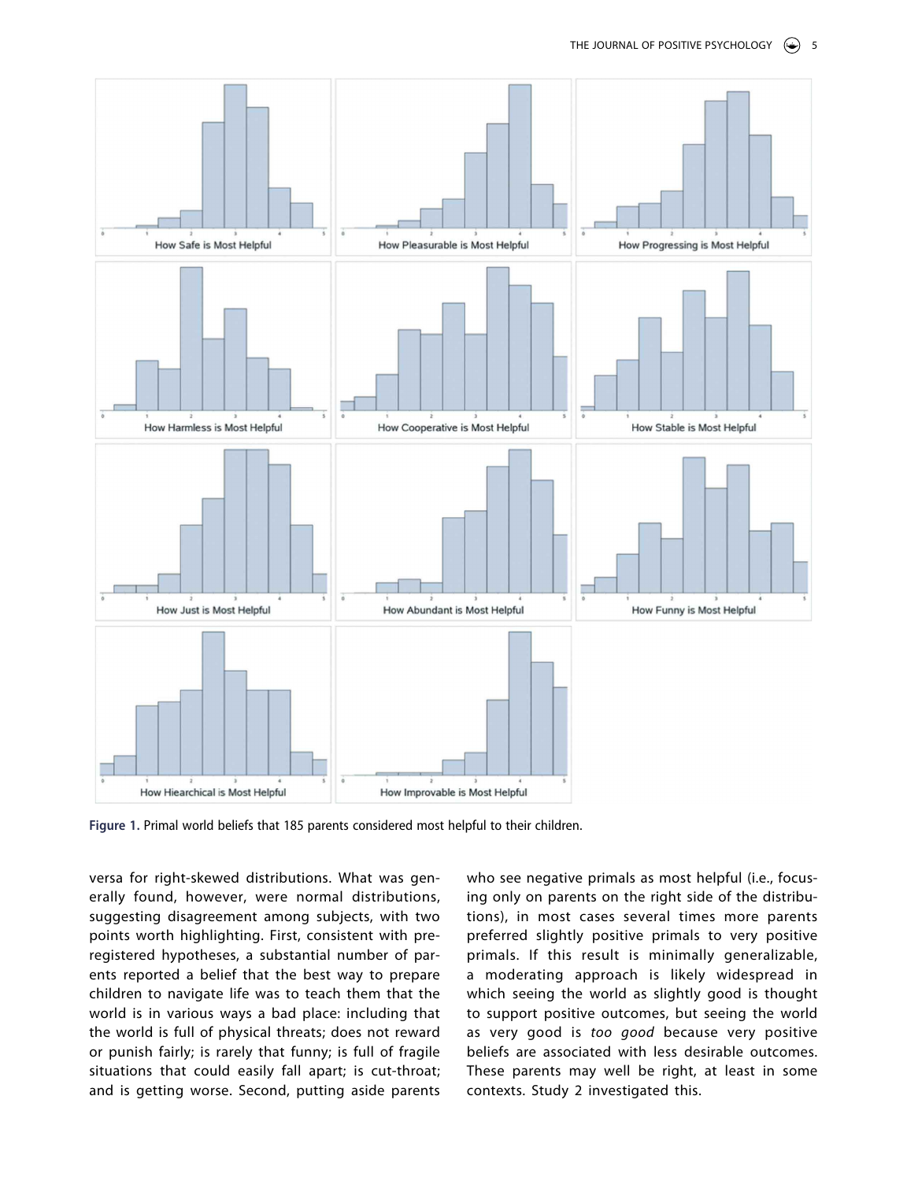<span id="page-4-0"></span>

**Figure 1.** Primal world beliefs that 185 parents considered most helpful to their children.

versa for right-skewed distributions. What was generally found, however, were normal distributions, suggesting disagreement among subjects, with two points worth highlighting. First, consistent with preregistered hypotheses, a substantial number of parents reported a belief that the best way to prepare children to navigate life was to teach them that the world is in various ways a bad place: including that the world is full of physical threats; does not reward or punish fairly; is rarely that funny; is full of fragile situations that could easily fall apart; is cut-throat; and is getting worse. Second, putting aside parents

who see negative primals as most helpful (i.e., focusing only on parents on the right side of the distributions), in most cases several times more parents preferred slightly positive primals to very positive primals. If this result is minimally generalizable, a moderating approach is likely widespread in which seeing the world as slightly good is thought to support positive outcomes, but seeing the world as very good is too good because very positive beliefs are associated with less desirable outcomes. These parents may well be right, at least in some contexts. Study 2 investigated this.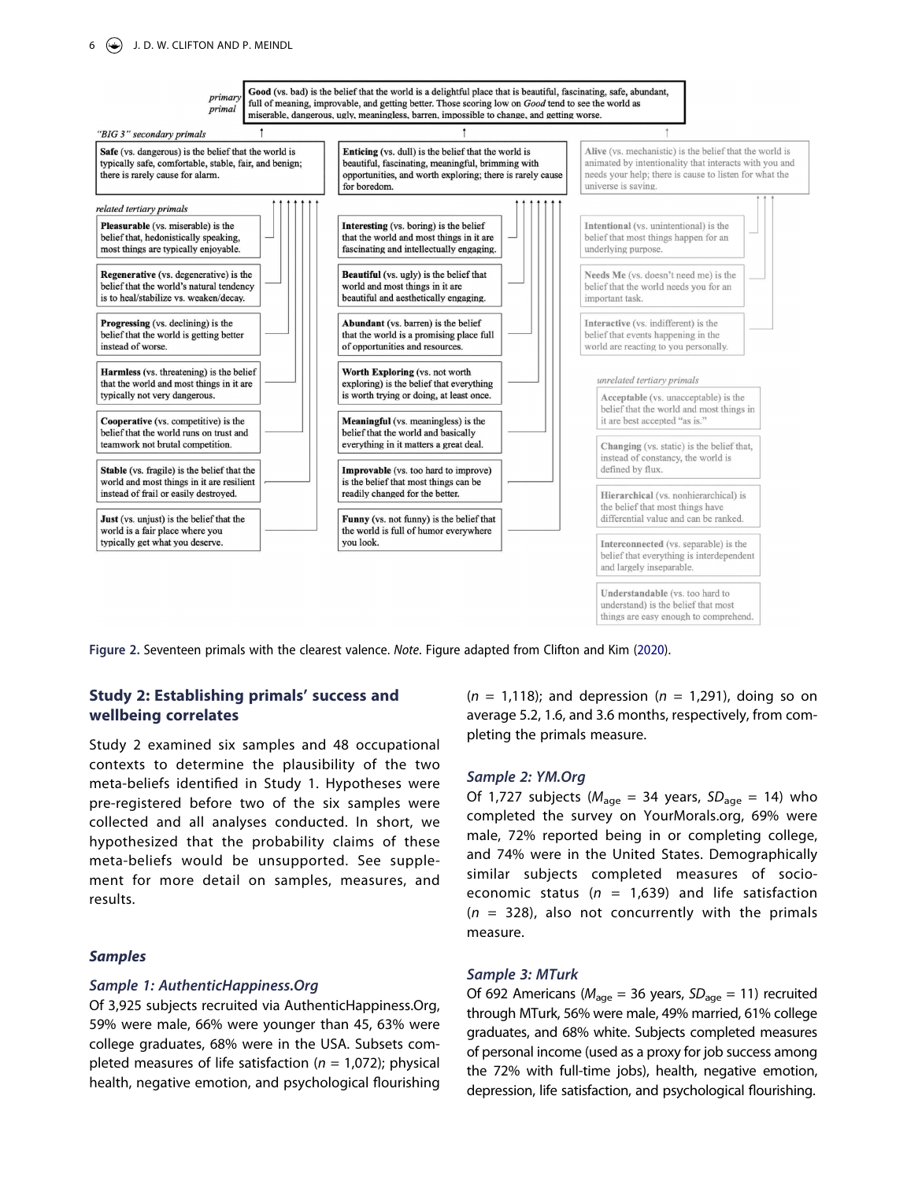<span id="page-5-0"></span>

**Figure 2.** Seventeen primals with the clearest valence. Note. Figure adapted from Clifton and Kim [\(2020](#page-14-0)).

# **Study 2: Establishing primals' success and wellbeing correlates**

Study 2 examined six samples and 48 occupational contexts to determine the plausibility of the two meta-beliefs identified in Study 1. Hypotheses were pre-registered before two of the six samples were collected and all analyses conducted. In short, we hypothesized that the probability claims of these meta-beliefs would be unsupported. See supplement for more detail on samples, measures, and results.

#### **Samples**

#### **Sample 1: AuthenticHappiness.Org**

Of 3,925 subjects recruited via AuthenticHappiness.Org, 59% were male, 66% were younger than 45, 63% were college graduates, 68% were in the USA. Subsets completed measures of life satisfaction ( $n = 1,072$ ); physical health, negative emotion, and psychological flourishing  $(n = 1,118)$ ; and depression  $(n = 1,291)$ , doing so on average 5.2, 1.6, and 3.6 months, respectively, from completing the primals measure.

#### **Sample 2: YM.Org**

Of 1,727 subjects ( $M_{\text{ace}} = 34$  years,  $SD_{\text{ace}} = 14$ ) who completed the survey on YourMorals.org, 69% were male, 72% reported being in or completing college, and 74% were in the United States. Demographically similar subjects completed measures of socioeconomic status ( $n = 1.639$ ) and life satisfaction  $(n = 328)$ , also not concurrently with the primals measure.

#### **Sample 3: MTurk**

Of 692 Americans ( $M_{\text{age}} = 36$  years,  $SD_{\text{age}} = 11$ ) recruited through MTurk, 56% were male, 49% married, 61% college graduates, and 68% white. Subjects completed measures of personal income (used as a proxy for job success among the 72% with full-time jobs), health, negative emotion, depression, life satisfaction, and psychological flourishing.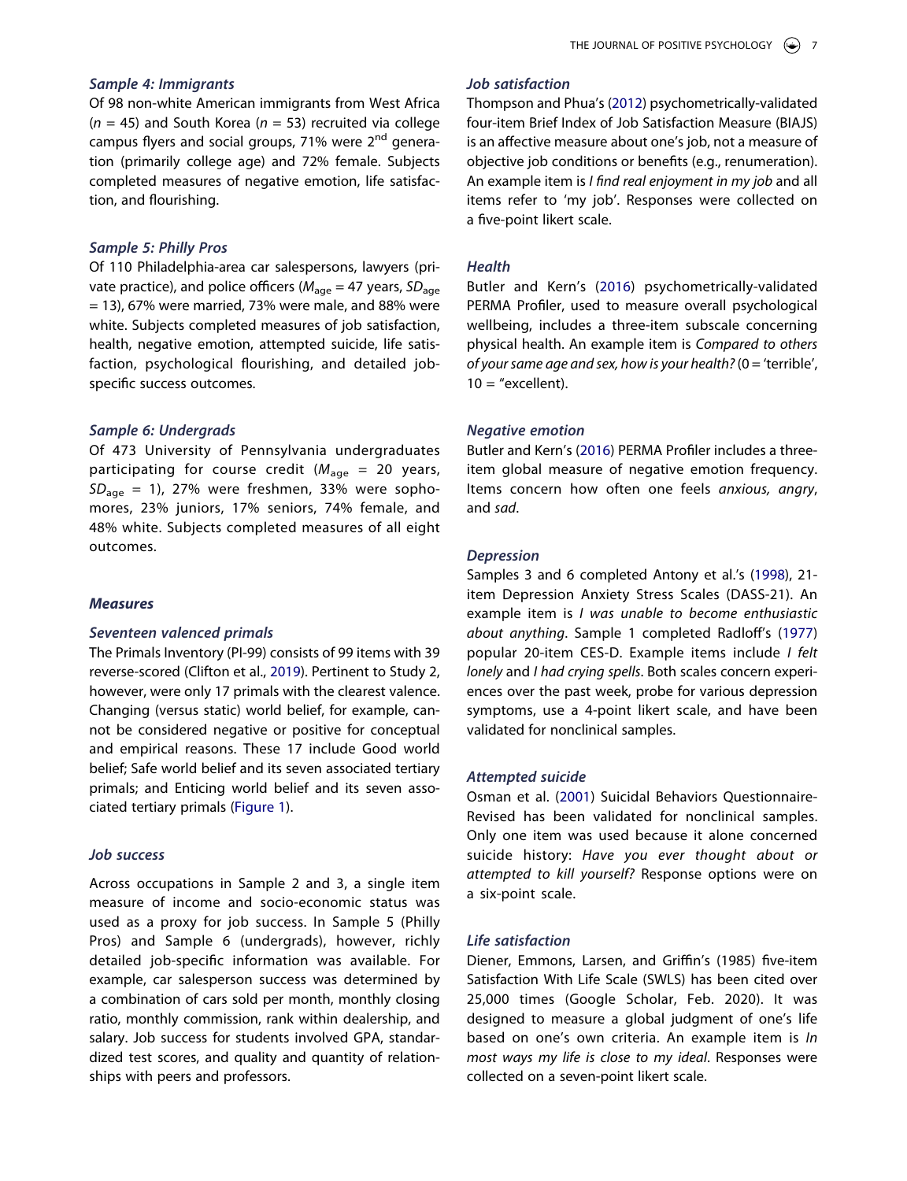### **Sample 4: Immigrants**

Of 98 non-white American immigrants from West Africa  $(n = 45)$  and South Korea ( $n = 53$ ) recruited via college campus flyers and social groups, 71% were 2<sup>nd</sup> generation (primarily college age) and 72% female. Subjects completed measures of negative emotion, life satisfaction, and flourishing.

#### **Sample 5: Philly Pros**

Of 110 Philadelphia-area car salespersons, lawyers (private practice), and police officers ( $M_{\text{age}} = 47$  years,  $SD_{\text{age}}$  $=$  13), 67% were married, 73% were male, and 88% were white. Subjects completed measures of job satisfaction, health, negative emotion, attempted suicide, life satisfaction, psychological flourishing, and detailed jobspecific success outcomes.

#### **Sample 6: Undergrads**

Of 473 University of Pennsylvania undergraduates participating for course credit ( $M_{\text{age}} = 20$  years,  $SD<sub>ace</sub> = 1$ , 27% were freshmen, 33% were sophomores, 23% juniors, 17% seniors, 74% female, and 48% white. Subjects completed measures of all eight outcomes.

#### **Measures**

#### **Seventeen valenced primals**

The Primals Inventory (PI-99) consists of 99 items with 39 reverse-scored (Clifton et al., [2019](#page-14-1)). Pertinent to Study 2, however, were only 17 primals with the clearest valence. Changing (versus static) world belief, for example, cannot be considered negative or positive for conceptual and empirical reasons. These 17 include Good world belief; Safe world belief and its seven associated tertiary primals; and Enticing world belief and its seven associated tertiary primals ([Figure 1](#page-4-0)).

#### **Job success**

Across occupations in Sample 2 and 3, a single item measure of income and socio-economic status was used as a proxy for job success. In Sample 5 (Philly Pros) and Sample 6 (undergrads), however, richly detailed job-specific information was available. For example, car salesperson success was determined by a combination of cars sold per month, monthly closing ratio, monthly commission, rank within dealership, and salary. Job success for students involved GPA, standardized test scores, and quality and quantity of relationships with peers and professors.

### **Job satisfaction**

<span id="page-6-4"></span>Thompson and Phua's [\(2012\)](#page-15-5) psychometrically-validated four-item Brief Index of Job Satisfaction Measure (BIAJS) is an affective measure about one's job, not a measure of objective job conditions or benefits (e.g., renumeration). An example item is I find real enjoyment in my job and all items refer to 'my job'. Responses were collected on a five-point likert scale.

#### **Health**

Butler and Kern's ([2016](#page-14-11)) psychometrically-validated PERMA Profiler, used to measure overall psychological wellbeing, includes a three-item subscale concerning physical health. An example item is Compared to others of your same age and sex, how is your health?  $(0 = 'terrible',$  $10 =$  "excellent).

#### **Negative emotion**

<span id="page-6-1"></span>Butler and Kern's ([2016](#page-14-11)) PERMA Profiler includes a threeitem global measure of negative emotion frequency. Items concern how often one feels anxious, angry, and sad.

### **Depression**

<span id="page-6-3"></span><span id="page-6-0"></span>Samples 3 and 6 completed Antony et al.'s [\(1998\)](#page-14-12), 21 item Depression Anxiety Stress Scales (DASS-21). An example item is I was unable to become enthusiastic about anything. Sample 1 completed Radloff's ([1977\)](#page-15-6) popular 20-item CES-D. Example items include I felt lonely and I had crying spells. Both scales concern experiences over the past week, probe for various depression symptoms, use a 4-point likert scale, and have been validated for nonclinical samples.

#### **Attempted suicide**

<span id="page-6-2"></span>Osman et al. ([2001](#page-15-7)) Suicidal Behaviors Questionnaire-Revised has been validated for nonclinical samples. Only one item was used because it alone concerned suicide history: Have you ever thought about or attempted to kill yourself? Response options were on a six-point scale.

#### **Life satisfaction**

Diener, Emmons, Larsen, and Griffin's (1985) five-item Satisfaction With Life Scale (SWLS) has been cited over 25,000 times (Google Scholar, Feb. 2020). It was designed to measure a global judgment of one's life based on one's own criteria. An example item is In most ways my life is close to my ideal. Responses were collected on a seven-point likert scale.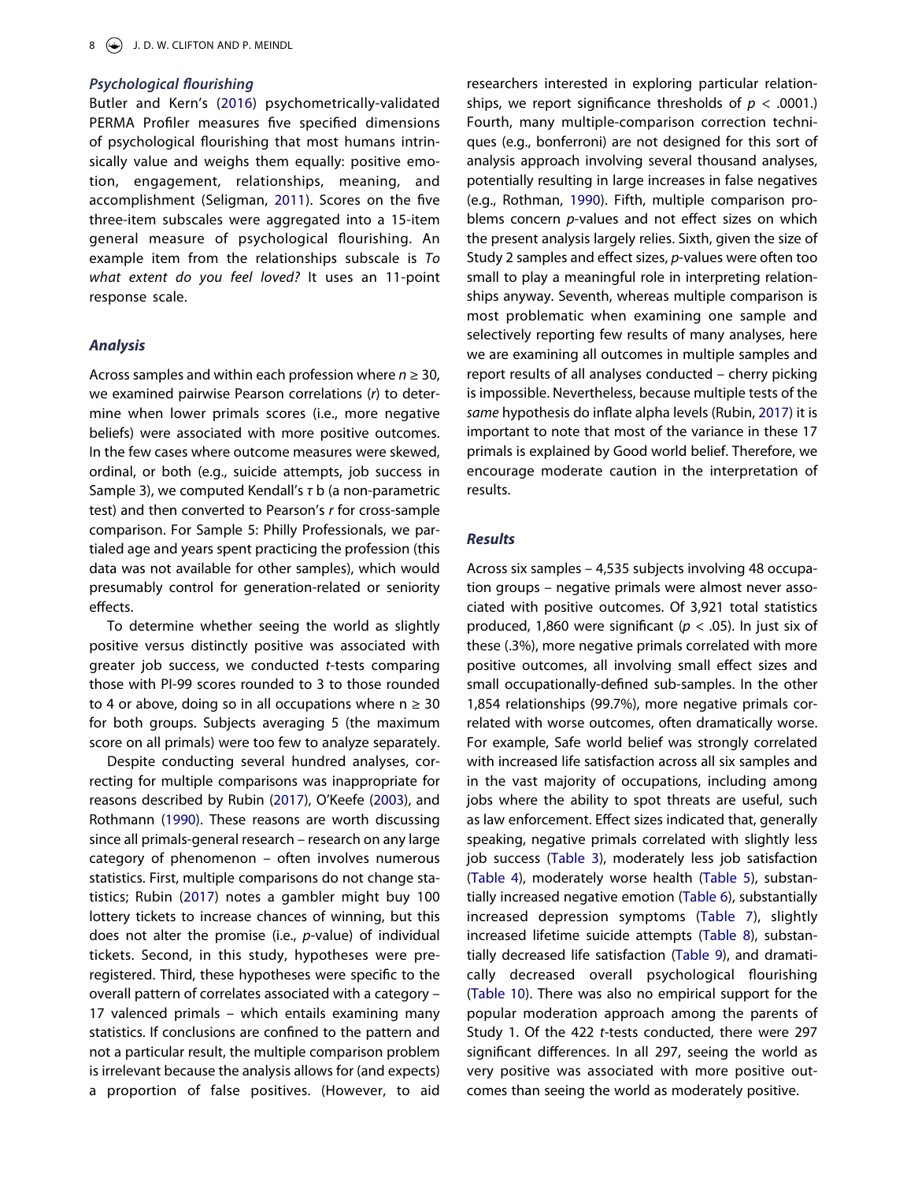#### **Psychological flourishing**

<span id="page-7-3"></span>Butler and Kern's [\(2016\)](#page-14-11) psychometrically-validated PERMA Profiler measures five specified dimensions of psychological flourishing that most humans intrinsically value and weighs them equally: positive emotion, engagement, relationships, meaning, and accomplishment (Seligman, [2011](#page-15-8)). Scores on the five three-item subscales were aggregated into a 15-item general measure of psychological flourishing. An example item from the relationships subscale is To what extent do you feel loved? It uses an 11-point response scale.

### **Analysis**

Across samples and within each profession where  $n \geq 30$ , we examined pairwise Pearson correlations (r) to determine when lower primals scores (i.e., more negative beliefs) were associated with more positive outcomes. In the few cases where outcome measures were skewed, ordinal, or both (e.g., suicide attempts, job success in Sample 3), we computed Kendall's  $\tau$  b (a non-parametric test) and then converted to Pearson's r for cross-sample comparison. For Sample 5: Philly Professionals, we partialed age and years spent practicing the profession (this data was not available for other samples), which would presumably control for generation-related or seniority effects.

To determine whether seeing the world as slightly positive versus distinctly positive was associated with greater job success, we conducted t-tests comparing those with PI-99 scores rounded to 3 to those rounded to 4 or above, doing so in all occupations where  $n \geq 30$ for both groups. Subjects averaging 5 (the maximum score on all primals) were too few to analyze separately.

<span id="page-7-0"></span>Despite conducting several hundred analyses, correcting for multiple comparisons was inappropriate for reasons described by Rubin ([2017](#page-15-9)), O'Keefe [\(2003\)](#page-15-10), and Rothmann [\(1990\)](#page-15-11). These reasons are worth discussing since all primals-general research – research on any large category of phenomenon – often involves numerous statistics. First, multiple comparisons do not change statistics; Rubin [\(2017](#page-15-9)) notes a gambler might buy 100 lottery tickets to increase chances of winning, but this does not alter the promise (i.e.,  $p$ -value) of individual tickets. Second, in this study, hypotheses were preregistered. Third, these hypotheses were specific to the overall pattern of correlates associated with a category – 17 valenced primals – which entails examining many statistics. If conclusions are confined to the pattern and not a particular result, the multiple comparison problem is irrelevant because the analysis allows for (and expects) a proportion of false positives. (However, to aid <span id="page-7-1"></span>researchers interested in exploring particular relationships, we report significance thresholds of  $p < .0001$ .) Fourth, many multiple-comparison correction techniques (e.g., bonferroni) are not designed for this sort of analysis approach involving several thousand analyses, potentially resulting in large increases in false negatives (e.g., Rothman, [1990\)](#page-15-11). Fifth, multiple comparison problems concern p-values and not effect sizes on which the present analysis largely relies. Sixth, given the size of Study 2 samples and effect sizes, p-values were often too small to play a meaningful role in interpreting relationships anyway. Seventh, whereas multiple comparison is most problematic when examining one sample and selectively reporting few results of many analyses, here we are examining all outcomes in multiple samples and report results of all analyses conducted – cherry picking is impossible. Nevertheless, because multiple tests of the same hypothesis do inflate alpha levels (Rubin, [2017](#page-15-9)) it is important to note that most of the variance in these 17 primals is explained by Good world belief. Therefore, we encourage moderate caution in the interpretation of results.

### <span id="page-7-2"></span>**Results**

Across six samples – 4,535 subjects involving 48 occupation groups – negative primals were almost never associated with positive outcomes. Of 3,921 total statistics produced, 1,860 were significant ( $p < .05$ ). In just six of these (.3%), more negative primals correlated with more positive outcomes, all involving small effect sizes and small occupationally-defined sub-samples. In the other 1,854 relationships (99.7%), more negative primals correlated with worse outcomes, often dramatically worse. For example, Safe world belief was strongly correlated with increased life satisfaction across all six samples and in the vast majority of occupations, including among jobs where the ability to spot threats are useful, such as law enforcement. Effect sizes indicated that, generally speaking, negative primals correlated with slightly less job success [\(Table 3\)](#page-8-0), moderately less job satisfaction ([Table 4\)](#page-8-1), moderately worse health [\(Table 5\)](#page-8-2), substantially increased negative emotion ([Table 6](#page-9-0)), substantially increased depression symptoms ([Table 7](#page-9-1)), slightly increased lifetime suicide attempts [\(Table 8](#page-9-2)), substantially decreased life satisfaction ([Table 9\)](#page-10-0), and dramatically decreased overall psychological flourishing ([Table 10](#page-10-1)). There was also no empirical support for the popular moderation approach among the parents of Study 1. Of the 422 t-tests conducted, there were 297 significant differences. In all 297, seeing the world as very positive was associated with more positive outcomes than seeing the world as moderately positive.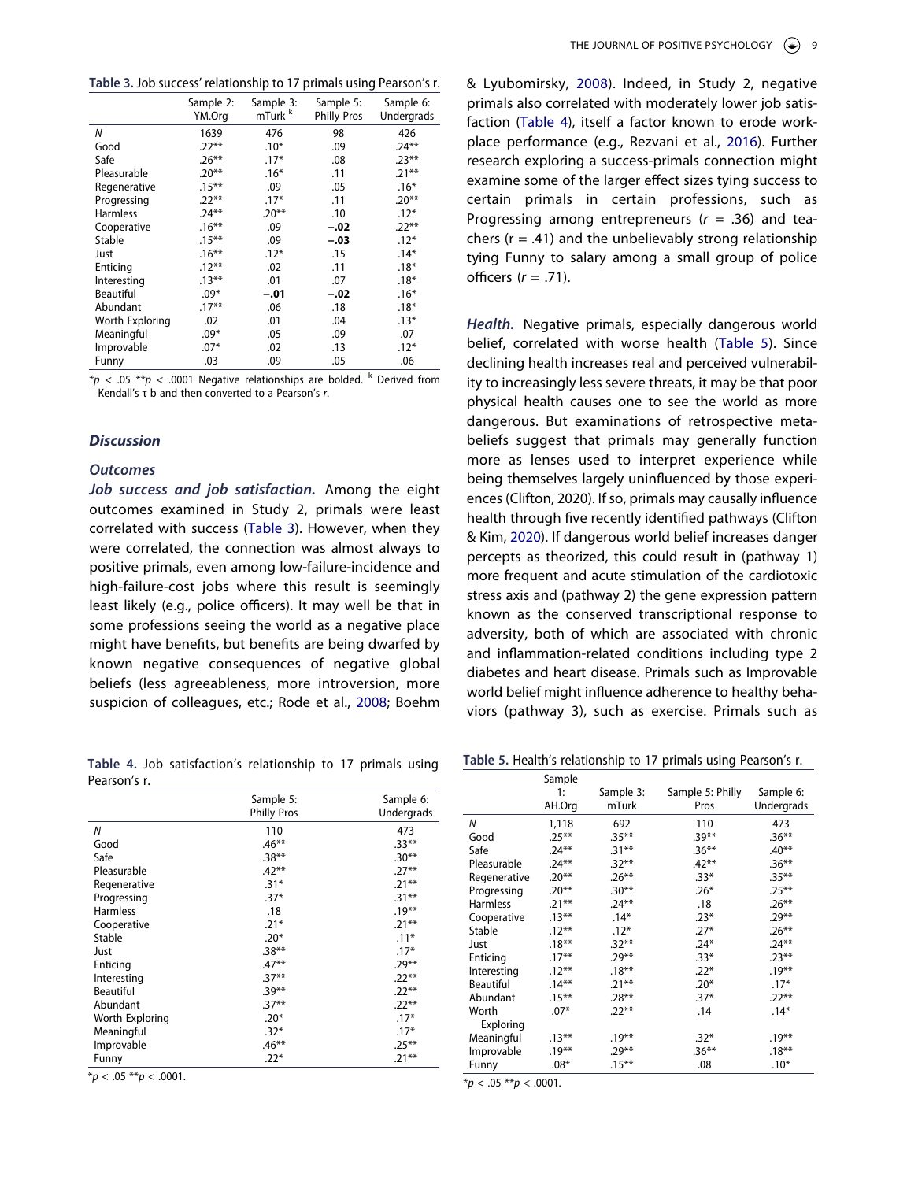<span id="page-8-0"></span>**Table 3.** Job success' relationship to 17 primals using Pearson's r.

|                  | Sample 2:<br>YM.Org | Sample 3:<br>mTurk <sup>k</sup> | Sample 5:<br><b>Philly Pros</b> | Sample 6:<br>Undergrads |
|------------------|---------------------|---------------------------------|---------------------------------|-------------------------|
| Ν                | 1639                | 476                             | 98                              | 426                     |
| Good             | $.22**$             | $.10*$                          | .09                             | $.24***$                |
| Safe             | $.26***$            | $.17*$                          | .08                             | $.23**$                 |
| Pleasurable      | $.20**$             | $.16*$                          | .11                             | $.21***$                |
| Regenerative     | $.15***$            | .09                             | .05                             | $.16*$                  |
| Progressing      | $.22**$             | $.17*$                          | .11                             | $.20**$                 |
| <b>Harmless</b>  | $.24***$            | $.20**$                         | .10                             | $.12*$                  |
| Cooperative      | $.16***$            | .09                             | $-.02$                          | $.22***$                |
| Stable           | $.15***$            | .09                             | $-.03$                          | $.12*$                  |
| Just             | $.16***$            | $.12*$                          | .15                             | $.14*$                  |
| Enticing         | $.12***$            | .02                             | .11                             | $.18*$                  |
| Interesting      | $.13***$            | .01                             | .07                             | $.18*$                  |
| <b>Beautiful</b> | $.09*$              | $-.01$                          | $-.02$                          | $.16*$                  |
| Abundant         | $.17***$            | .06                             | .18                             | $.18*$                  |
| Worth Exploring  | .02                 | .01                             | .04                             | $.13*$                  |
| Meaningful       | $.09*$              | .05                             | .09                             | .07                     |
| Improvable       | $.07*$              | .02                             | .13                             | $.12*$                  |
| Funny            | .03                 | .09                             | .05                             | .06                     |

 $*p < .05$  \*\*p < .0001 Negative relationships are bolded. K Derived from Kendall's τ b and then converted to a Pearson's r.

#### **Discussion**

### **Outcomes**

**Job success and job satisfaction.** Among the eight outcomes examined in Study 2, primals were least correlated with success ([Table 3](#page-8-0)). However, when they were correlated, the connection was almost always to positive primals, even among low-failure-incidence and high-failure-cost jobs where this result is seemingly least likely (e.g., police officers). It may well be that in some professions seeing the world as a negative place might have benefits, but benefits are being dwarfed by known negative consequences of negative global beliefs (less agreeableness, more introversion, more suspicion of colleagues, etc.; Rode et al., [2008](#page-15-12); Boehm

<span id="page-8-5"></span><span id="page-8-1"></span>**Table 4.** Job satisfaction's relationship to 17 primals using Pearson's r.

|                  | Sample 5:<br><b>Philly Pros</b> | Sample 6:<br>Undergrads |
|------------------|---------------------------------|-------------------------|
| N                | 110                             | 473                     |
| Good             | $.46**$                         | $.33***$                |
| Safe             | $.38***$                        | $.30**$                 |
| Pleasurable      | $.42**$                         | $.27**$                 |
| Regenerative     | $.31*$                          | $.21***$                |
| Progressing      | $.37*$                          | $.31***$                |
| <b>Harmless</b>  | .18                             | $.19***$                |
| Cooperative      | $.21*$                          | $.21***$                |
| Stable           | $.20*$                          | $.11*$                  |
| Just             | $.38***$                        | $.17*$                  |
| Enticing         | $.47**$                         | $.29***$                |
| Interesting      | $.37***$                        | $.22**$                 |
| <b>Beautiful</b> | $.39**$                         | $.22***$                |
| Abundant         | $.37***$                        | $.22***$                |
| Worth Exploring  | $.20*$                          | $.17*$                  |
| Meaningful       | $.32*$                          | $.17*$                  |
| Improvable       | $.46***$                        | $.25***$                |
| Funny            | $.22*$                          | $.21***$                |

 $*p < .05 **p < .0001$ .

<span id="page-8-4"></span><span id="page-8-3"></span>& Lyubomirsky, [2008\)](#page-14-13). Indeed, in Study 2, negative primals also correlated with moderately lower job satisfaction ([Table 4\)](#page-8-1), itself a factor known to erode workplace performance (e.g., Rezvani et al., [2016](#page-15-13)). Further research exploring a success-primals connection might examine some of the larger effect sizes tying success to certain primals in certain professions, such as Progressing among entrepreneurs ( $r = .36$ ) and teachers ( $r = .41$ ) and the unbelievably strong relationship tying Funny to salary among a small group of police officers  $(r = .71)$ .

**Health.** Negative primals, especially dangerous world belief, correlated with worse health ([Table 5\)](#page-8-2). Since declining health increases real and perceived vulnerability to increasingly less severe threats, it may be that poor physical health causes one to see the world as more dangerous. But examinations of retrospective metabeliefs suggest that primals may generally function more as lenses used to interpret experience while being themselves largely uninfluenced by those experiences (Clifton, 2020). If so, primals may causally influence health through five recently identified pathways (Clifton & Kim, [2020\)](#page-14-0). If dangerous world belief increases danger percepts as theorized, this could result in (pathway 1) more frequent and acute stimulation of the cardiotoxic stress axis and (pathway 2) the gene expression pattern known as the conserved transcriptional response to adversity, both of which are associated with chronic and inflammation-related conditions including type 2 diabetes and heart disease. Primals such as Improvable world belief might influence adherence to healthy behaviors (pathway 3), such as exercise. Primals such as

<span id="page-8-2"></span>**Table 5.** Health's relationship to 17 primals using Pearson's r.

|                  | Sample   |           |                  |            |
|------------------|----------|-----------|------------------|------------|
|                  | 1:       | Sample 3: | Sample 5: Philly | Sample 6:  |
|                  | AH.Org   | mTurk     | Pros             | Undergrads |
| N                | 1,118    | 692       | 110              | 473        |
| Good             | $.25***$ | $.35***$  | $.39***$         | $.36***$   |
| Safe             | $.24***$ | $.31***$  | $.36***$         | $.40**$    |
| Pleasurable      | $.24***$ | $.32***$  | $.42**$          | $.36***$   |
| Regenerative     | $.20**$  | $.26***$  | $.33*$           | $.35***$   |
| Progressing      | $.20**$  | $.30**$   | $.26*$           | $.25***$   |
| <b>Harmless</b>  | $.21***$ | $.24***$  | .18              | $.26***$   |
| Cooperative      | $.13***$ | $.14*$    | $.23*$           | $.29***$   |
| Stable           | $.12***$ | $.12*$    | $.27*$           | $.26***$   |
| Just             | $.18***$ | $.32***$  | $.24*$           | $.24***$   |
| Enticing         | $.17***$ | $.29**$   | $.33*$           | $.23***$   |
| Interesting      | $.12***$ | $.18***$  | $.22*$           | $.19***$   |
| <b>Beautiful</b> | $.14***$ | $.21***$  | $.20*$           | $.17*$     |
| Abundant         | $.15***$ | $.28**$   | $.37*$           | $.22***$   |
| Worth            | $.07*$   | $.22**$   | .14              | $.14*$     |
| Exploring        |          |           |                  |            |
| Meaningful       | $.13***$ | $.19***$  | $.32*$           | $.19***$   |
| Improvable       | $.19***$ | $.29**$   | $.36***$         | $.18***$   |
| Funny            | $.08*$   | $.15***$  | .08              | $.10*$     |

 $**p*$  < .05 \*\* *< .0001.*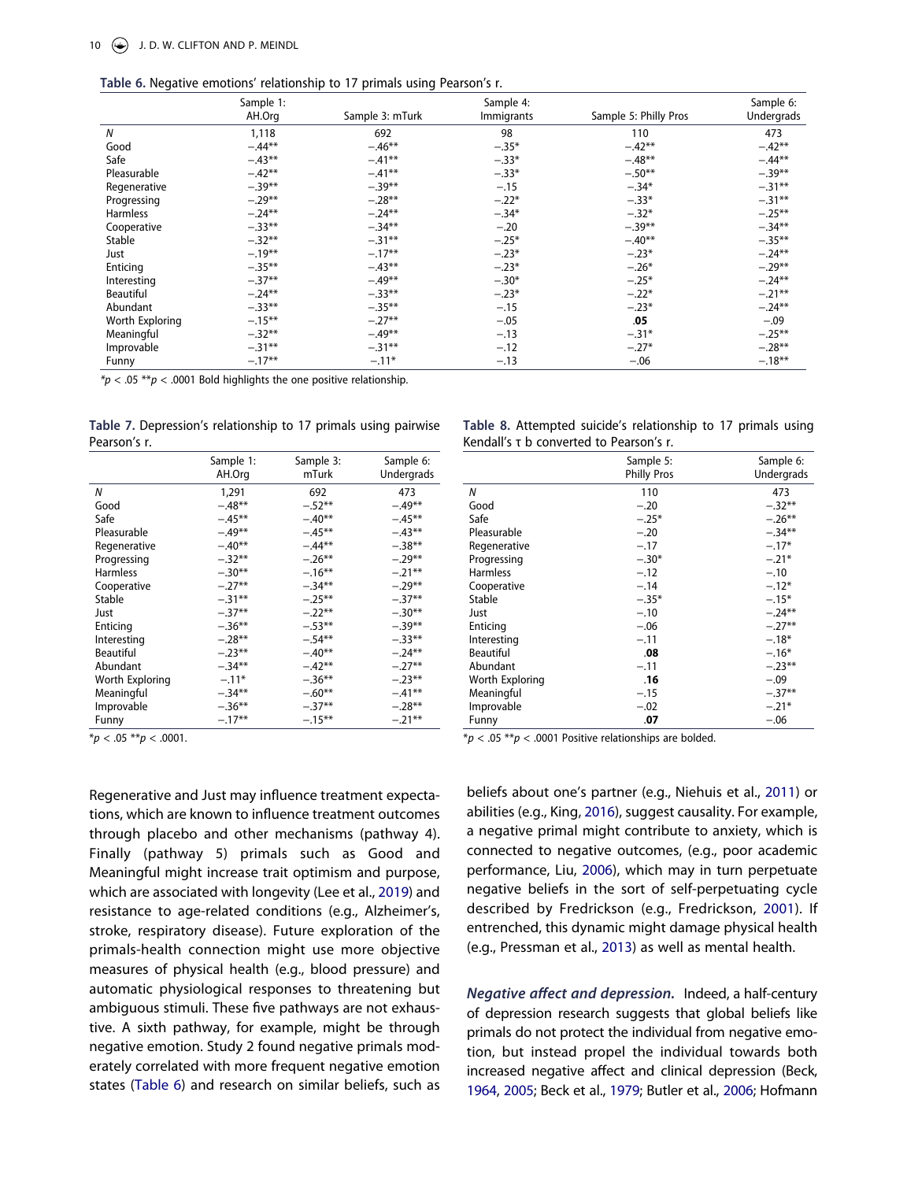<span id="page-9-0"></span>

| Table 6. Negative emotions' relationship to 17 primals using Pearson's r. |  |  |  |  |
|---------------------------------------------------------------------------|--|--|--|--|
|---------------------------------------------------------------------------|--|--|--|--|

|                  | Sample 1:<br>AH.Org | Sample 3: mTurk | Sample 4:<br><b>Immigrants</b> | Sample 5: Philly Pros | Sample 6:<br>Undergrads |
|------------------|---------------------|-----------------|--------------------------------|-----------------------|-------------------------|
|                  |                     |                 |                                |                       |                         |
| $\boldsymbol{N}$ | 1,118               | 692             | 98                             | 110                   | 473                     |
| Good             | $-.44**$            | $-.46**$        | $-.35*$                        | $-.42**$              | $-.42**$                |
| Safe             | $-.43**$            | $-.41***$       | $-.33*$                        | $-.48**$              | $-.44**$                |
| Pleasurable      | $-.42**$            | $-.41***$       | $-.33*$                        | $-.50**$              | $-.39***$               |
| Regenerative     | $-.39***$           | $-.39***$       | $-.15$                         | $-.34*$               | $-.31***$               |
| Progressing      | $-.29**$            | $-.28**$        | $-.22*$                        | $-.33*$               | $-.31***$               |
| <b>Harmless</b>  | $-.24***$           | $-.24***$       | $-.34*$                        | $-.32*$               | $-.25***$               |
| Cooperative      | $-.33**$            | $-.34***$       | $-.20$                         | $-.39***$             | $-.34***$               |
| Stable           | $-.32***$           | $-.31***$       | $-.25*$                        | $-.40**$              | $-.35***$               |
| Just             | $-.19***$           | $-.17**$        | $-.23*$                        | $-.23*$               | $-.24**$                |
| Enticing         | $-.35***$           | $-.43**$        | $-.23*$                        | $-.26*$               | $-.29***$               |
| Interesting      | $-.37**$            | $-.49**$        | $-.30*$                        | $-.25*$               | $-.24***$               |
| Beautiful        | $-.24***$           | $-.33**$        | $-.23*$                        | $-.22*$               | $-.21***$               |
| Abundant         | $-.33***$           | $-.35***$       | $-.15$                         | $-.23*$               | $-.24***$               |
| Worth Exploring  | $-.15***$           | $-.27**$        | $-.05$                         | .05                   | $-.09$                  |
| Meaningful       | $-.32***$           | $-.49**$        | $-.13$                         | $-.31*$               | $-.25***$               |
| Improvable       | $-.31***$           | $-.31***$       | $-.12$                         | $-.27*$               | $-.28**$                |
| Funny            | $-.17***$           | $-.11*$         | $-.13$                         | $-.06$                | $-.18***$               |

 $**p* < .05 ***p* < .0001$  Bold highlights the one positive relationship.

<span id="page-9-1"></span>

| Table 7. Depression's relationship to 17 primals using pairwise |  |  |  |
|-----------------------------------------------------------------|--|--|--|
| Pearson's r.                                                    |  |  |  |

|                 | Sample 1:<br>AH.Org | Sample 3:<br>mTurk | Sample 6:<br>Undergrads |
|-----------------|---------------------|--------------------|-------------------------|
| Ν               | 1,291               | 692                | 473                     |
| Good            | $-.48**$            | $-.52**$           | $-.49**$                |
| Safe            | $-.45***$           | $-.40**$           | $-.45**$                |
| Pleasurable     | $-.49**$            | $-.45***$          | $-.43**$                |
| Regenerative    | $-.40**$            | $-.44**$           | $-.38**$                |
| Progressing     | $-.32***$           | $-.26***$          | $-.29**$                |
| <b>Harmless</b> | $-.30**$            | $-.16***$          | $-.21***$               |
| Cooperative     | $-.27**$            | $-.34**$           | $-.29**$                |
| Stable          | $-.31**$            | $-.25***$          | $-.37**$                |
| Just            | $-.37**$            | $-.22**$           | $-.30**$                |
| Enticing        | $-.36***$           | $-.53***$          | $-.39**$                |
| Interesting     | $-.28**$            | $-.54**$           | $-.33**$                |
| Beautiful       | $-.23***$           | $-.40**$           | $-.24**$                |
| Abundant        | $-.34**$            | $-.42**$           | $-.27**$                |
| Worth Exploring | $-.11*$             | $-.36***$          | $-.23**$                |
| Meaningful      | $-.34**$            | $-.60**$           | $-.41***$               |
| Improvable      | $-.36***$           | $-.37**$           | $-.28**$                |
| Funny           | $-.17***$           | $-.15***$          | $-.21***$               |

 $**p* < .05 ***p* < .0001$ .

<span id="page-9-5"></span>Regenerative and Just may influence treatment expectations, which are known to influence treatment outcomes through placebo and other mechanisms (pathway 4). Finally (pathway 5) primals such as Good and Meaningful might increase trait optimism and purpose, which are associated with longevity (Lee et al., [2019\)](#page-15-14) and resistance to age-related conditions (e.g., Alzheimer's, stroke, respiratory disease). Future exploration of the primals-health connection might use more objective measures of physical health (e.g., blood pressure) and automatic physiological responses to threatening but ambiguous stimuli. These five pathways are not exhaustive. A sixth pathway, for example, might be through negative emotion. Study 2 found negative primals moderately correlated with more frequent negative emotion states ([Table 6\)](#page-9-0) and research on similar beliefs, such as

<span id="page-9-2"></span>

|  |                                         | Table 8. Attempted suicide's relationship to 17 primals using |  |  |
|--|-----------------------------------------|---------------------------------------------------------------|--|--|
|  | Kendall's τ b converted to Pearson's r. |                                                               |  |  |

|                  | Sample 5:<br><b>Philly Pros</b> | Sample 6:<br>Undergrads |
|------------------|---------------------------------|-------------------------|
| Ν                | 110                             | 473                     |
| Good             | $-.20$                          | $-.32**$                |
| Safe             | $-.25*$                         | $-.26***$               |
| Pleasurable      | $-.20$                          | $-.34**$                |
| Regenerative     | $-.17$                          | $-.17*$                 |
| Progressing      | $-.30*$                         | $-.21*$                 |
| <b>Harmless</b>  | $-.12$                          | $-.10$                  |
| Cooperative      | $-.14$                          | $-.12*$                 |
| Stable           | $-.35*$                         | $-.15*$                 |
| Just             | $-.10$                          | $-.24**$                |
| Enticing         | $-.06$                          | $-.27**$                |
| Interesting      | $-.11$                          | $-.18*$                 |
| <b>Beautiful</b> | .08                             | $-.16*$                 |
| Abundant         | $-.11$                          | $-.23***$               |
| Worth Exploring  | .16                             | $-.09$                  |
| Meaningful       | $-.15$                          | $-.37**$                |
| Improvable       | $-.02$                          | $-.21*$                 |
| Funny            | .07                             | $-.06$                  |

 $* p < .05 ** p < .0001$  Positive relationships are bolded.

<span id="page-9-7"></span><span id="page-9-6"></span><span id="page-9-4"></span>beliefs about one's partner (e.g., Niehuis et al., [2011\)](#page-15-15) or abilities (e.g., King, [2016](#page-15-16)), suggest causality. For example, a negative primal might contribute to anxiety, which is connected to negative outcomes, (e.g., poor academic performance, Liu, [2006\)](#page-15-17), which may in turn perpetuate negative beliefs in the sort of self-perpetuating cycle described by Fredrickson (e.g., Fredrickson, [2001](#page-15-18)). If entrenched, this dynamic might damage physical health (e.g., Pressman et al., [2013\)](#page-15-19) as well as mental health.

<span id="page-9-8"></span><span id="page-9-3"></span>**Negative affect and depression.** Indeed, a half-century of depression research suggests that global beliefs like primals do not protect the individual from negative emotion, but instead propel the individual towards both increased negative affect and clinical depression (Beck, [1964,](#page-14-5) [2005;](#page-14-6) Beck et al., [1979;](#page-14-9) Butler et al., [2006](#page-14-7); Hofmann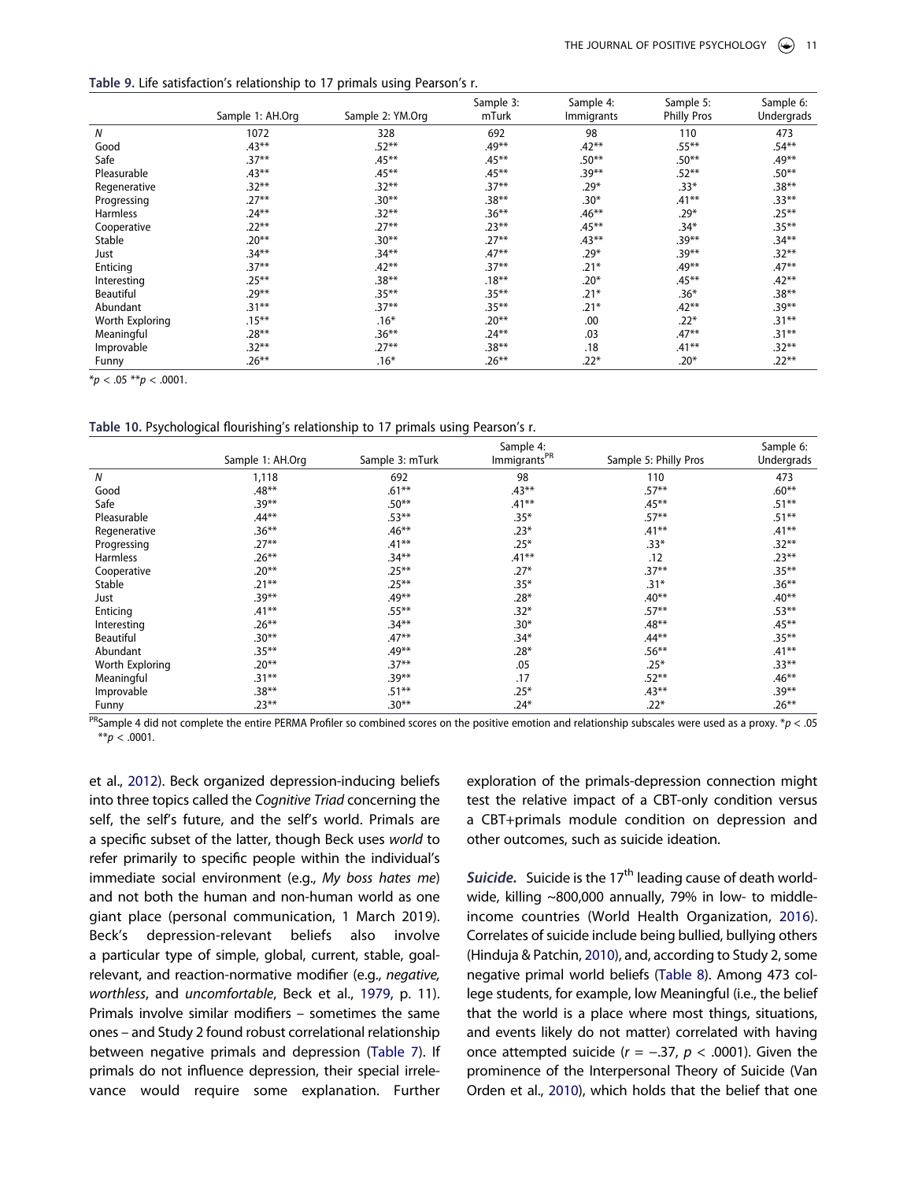<span id="page-10-0"></span>**Table 9.** Life satisfaction's relationship to 17 primals using Pearson's r.

|                  | Sample 1: AH.Org | Sample 2: YM.Org | Sample 3:<br>mTurk | Sample 4:<br><b>Immigrants</b> | Sample 5:<br><b>Philly Pros</b> | Sample 6:<br>Undergrads |
|------------------|------------------|------------------|--------------------|--------------------------------|---------------------------------|-------------------------|
| $\boldsymbol{N}$ | 1072             | 328              | 692                | 98                             | 110                             | 473                     |
| Good             | $.43***$         | .52**            | $.49**$            | $.42***$                       | $.55***$                        | .54**                   |
| Safe             | $.37**$          | $.45***$         | $.45***$           | $.50**$                        | $.50**$                         | $.49**$                 |
| Pleasurable      | $.43***$         | $.45***$         | $.45***$           | $.39***$                       | $.52**$                         | $.50**$                 |
| Regenerative     | $.32***$         | $.32***$         | $.37**$            | .29*                           | $.33*$                          | $.38***$                |
| Progressing      | $.27***$         | $.30**$          | $.38**$            | $.30*$                         | $.41***$                        | $.33**$                 |
| <b>Harmless</b>  | $.24***$         | $.32***$         | $.36***$           | $.46***$                       | .29*                            | $.25***$                |
| Cooperative      | .22**            | $.27***$         | $.23***$           | $.45***$                       | $.34*$                          | $.35***$                |
| Stable           | $.20**$          | $.30**$          | $.27**$            | $.43***$                       | .39**                           | $.34***$                |
| Just             | $.34***$         | $.34***$         | $.47**$            | .29*                           | .39**                           | $.32***$                |
| Enticing         | .37**            | $.42***$         | $.37**$            | .21*                           | $.49**$                         | .47**                   |
| Interesting      | $.25***$         | $.38***$         | $.18***$           | $.20*$                         | $.45***$                        | $.42***$                |
| Beautiful        | $.29***$         | $.35***$         | $.35***$           | $.21*$                         | $.36*$                          | $.38***$                |
| Abundant         | $.31***$         | $.37***$         | $.35***$           | $.21*$                         | $.42***$                        | $.39***$                |
| Worth Exploring  | $.15***$         | $.16*$           | $.20**$            | .00                            | .22*                            | $.31***$                |
| Meaningful       | $.28**$          | $.36***$         | $.24***$           | .03                            | $.47**$                         | $.31***$                |
| Improvable       | .32**            | $.27***$         | $.38**$            | .18                            | $.41***$                        | $.32**$                 |
| Funny            | $.26***$         | $.16*$           | $.26***$           | $.22*$                         | $.20*$                          | $.22***$                |

 $**p* < .05***p* < .0001$ .

<span id="page-10-1"></span>**Table 10.** Psychological flourishing's relationship to 17 primals using Pearson's r.

|                 | Sample 4:<br>Sample 6: |                 |                          |                       |            |  |
|-----------------|------------------------|-----------------|--------------------------|-----------------------|------------|--|
|                 | Sample 1: AH.Org       | Sample 3: mTurk | Immigrants <sup>PR</sup> | Sample 5: Philly Pros | Undergrads |  |
| N               | 1,118                  | 692             | 98                       | 110                   | 473        |  |
| Good            | $.48***$               | $.61***$        | $.43***$                 | $.57***$              | $.60**$    |  |
| Safe            | $.39***$               | $.50***$        | $.41***$                 | $.45***$              | $.51***$   |  |
| Pleasurable     | $.44***$               | $.53**$         | $.35*$                   | $.57**$               | $.51***$   |  |
| Regenerative    | $.36***$               | $.46**$         | .23*                     | $.41***$              | $.41***$   |  |
| Progressing     | $.27***$               | $.41***$        | .25*                     | $.33*$                | $.32**$    |  |
| <b>Harmless</b> | $.26***$               | $.34***$        | $.41***$                 | .12                   | $.23**$    |  |
| Cooperative     | $.20***$               | $.25***$        | .27*                     | $.37**$               | $.35***$   |  |
| Stable          | $.21***$               | $.25***$        | .35*                     | $.31*$                | $.36***$   |  |
| Just            | $.39***$               | $.49**$         | $.28*$                   | $.40**$               | $.40**$    |  |
| Enticing        | $.41***$               | $.55***$        | $.32*$                   | $.57**$               | $.53**$    |  |
| Interesting     | $.26***$               | $.34***$        | .30*                     | $.48**$               | $.45***$   |  |
| Beautiful       | $.30**$                | $.47**$         | $.34*$                   | $.44***$              | $.35***$   |  |
| Abundant        | $.35***$               | $.49**$         | $.28*$                   | $.56***$              | $.41***$   |  |
| Worth Exploring | $.20***$               | $.37***$        | .05                      | $.25*$                | $.33***$   |  |
| Meaningful      | $.31***$               | $.39***$        | .17                      | $.52**$               | $.46***$   |  |
| Improvable      | $.38***$               | $.51***$        | .25*                     | $.43***$              | $.39**$    |  |
| Funny           | $.23***$               | $.30**$         | $.24*$                   | $.22*$                | $.26**$    |  |

<sup>PR</sup>Sample 4 did not complete the entire PERMA Profiler so combined scores on the positive emotion and relationship subscales were used as a proxy.  $\smash{\raisebox{0.5ex}{\scriptsize{*}}} p < .05$ \*\* $p < .0001$ .

et al., [2012](#page-15-3)). Beck organized depression-inducing beliefs into three topics called the Cognitive Triad concerning the self, the self's future, and the self's world. Primals are a specific subset of the latter, though Beck uses world to refer primarily to specific people within the individual's immediate social environment (e.g., My boss hates me) and not both the human and non-human world as one giant place (personal communication, 1 March 2019). Beck's depression-relevant beliefs also involve a particular type of simple, global, current, stable, goalrelevant, and reaction-normative modifier (e.g., negative, worthless, and uncomfortable, Beck et al., [1979](#page-14-9), p. 11). Primals involve similar modifiers – sometimes the same ones – and Study 2 found robust correlational relationship between negative primals and depression [\(Table 7](#page-9-1)). If primals do not influence depression, their special irrelevance would require some explanation. Further exploration of the primals-depression connection might test the relative impact of a CBT-only condition versus a CBT+primals module condition on depression and other outcomes, such as suicide ideation.

<span id="page-10-4"></span><span id="page-10-3"></span><span id="page-10-2"></span>Suicide. Suicide is the 17<sup>th</sup> leading cause of death worldwide, killing ~800,000 annually, 79% in low- to middleincome countries (World Health Organization, [2016](#page-15-20)). Correlates of suicide include being bullied, bullying others (Hinduja & Patchin, [2010](#page-15-21)), and, according to Study 2, some negative primal world beliefs ([Table 8](#page-9-2)). Among 473 college students, for example, low Meaningful (i.e., the belief that the world is a place where most things, situations, and events likely do not matter) correlated with having once attempted suicide ( $r = -.37$ ,  $p < .0001$ ). Given the prominence of the Interpersonal Theory of Suicide (Van Orden et al., [2010\)](#page-15-22), which holds that the belief that one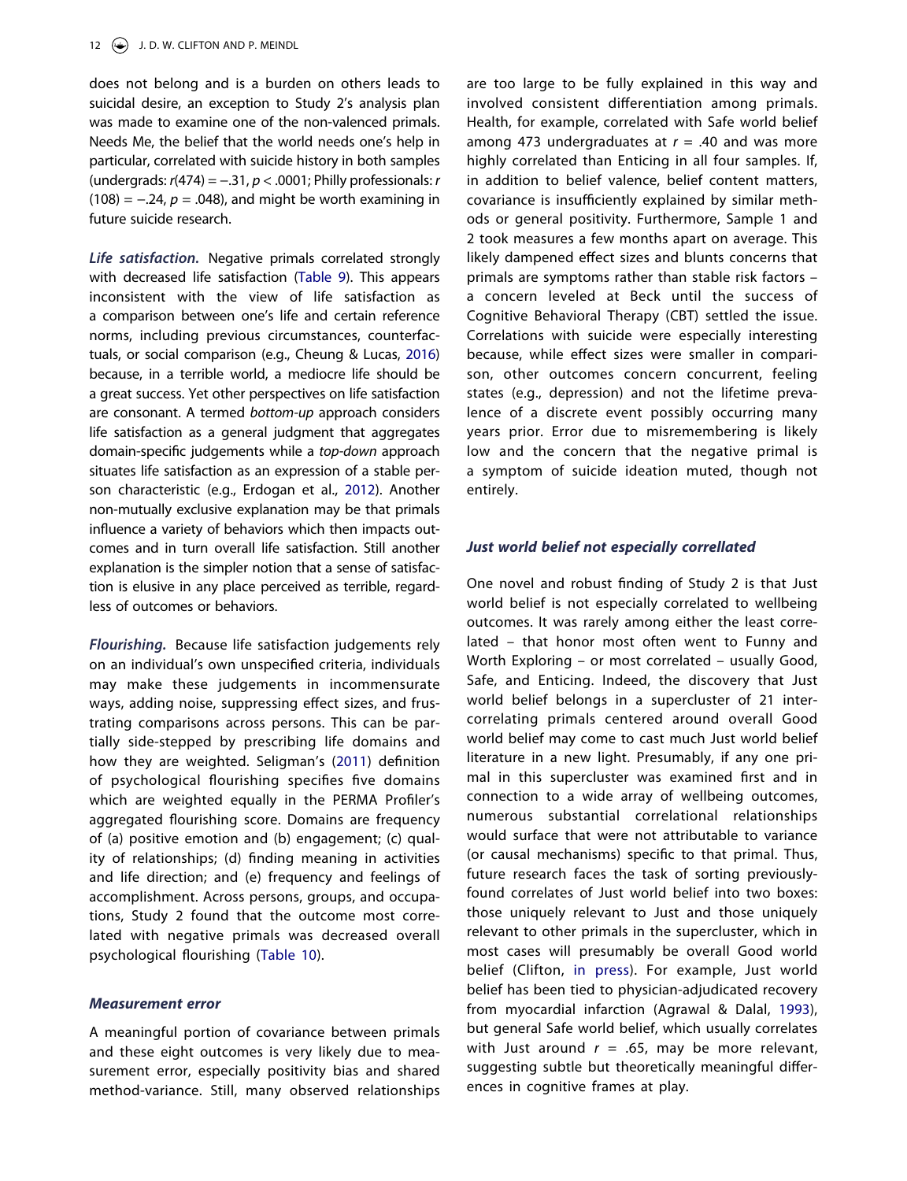does not belong and is a burden on others leads to suicidal desire, an exception to Study 2's analysis plan was made to examine one of the non-valenced primals. Needs Me, the belief that the world needs one's help in particular, correlated with suicide history in both samples (undergrads:  $r(474) = -.31, p < .0001$ ; Philly professionals: r  $(108) = -.24$ ,  $p = .048$ ), and might be worth examining in future suicide research.

**Life satisfaction.** Negative primals correlated strongly with decreased life satisfaction [\(Table 9](#page-10-0)). This appears inconsistent with the view of life satisfaction as a comparison between one's life and certain reference norms, including previous circumstances, counterfactuals, or social comparison (e.g., Cheung & Lucas, [2016\)](#page-14-10) because, in a terrible world, a mediocre life should be a great success. Yet other perspectives on life satisfaction are consonant. A termed bottom-up approach considers life satisfaction as a general judgment that aggregates domain-specific judgements while a top-down approach situates life satisfaction as an expression of a stable person characteristic (e.g., Erdogan et al., [2012](#page-14-14)). Another non-mutually exclusive explanation may be that primals influence a variety of behaviors which then impacts outcomes and in turn overall life satisfaction. Still another explanation is the simpler notion that a sense of satisfaction is elusive in any place perceived as terrible, regardless of outcomes or behaviors.

<span id="page-11-2"></span>**Flourishing.** Because life satisfaction judgements rely on an individual's own unspecified criteria, individuals may make these judgements in incommensurate ways, adding noise, suppressing effect sizes, and frustrating comparisons across persons. This can be partially side-stepped by prescribing life domains and how they are weighted. Seligman's ([2011\)](#page-15-8) definition of psychological flourishing specifies five domains which are weighted equally in the PERMA Profiler's aggregated flourishing score. Domains are frequency of (a) positive emotion and (b) engagement; (c) quality of relationships; (d) finding meaning in activities and life direction; and (e) frequency and feelings of accomplishment. Across persons, groups, and occupations, Study 2 found that the outcome most correlated with negative primals was decreased overall psychological flourishing [\(Table 10\)](#page-10-1).

### <span id="page-11-0"></span>**Measurement error**

A meaningful portion of covariance between primals and these eight outcomes is very likely due to measurement error, especially positivity bias and shared method-variance. Still, many observed relationships are too large to be fully explained in this way and involved consistent differentiation among primals. Health, for example, correlated with Safe world belief among 473 undergraduates at  $r = .40$  and was more highly correlated than Enticing in all four samples. If, in addition to belief valence, belief content matters, covariance is insufficiently explained by similar methods or general positivity. Furthermore, Sample 1 and 2 took measures a few months apart on average. This likely dampened effect sizes and blunts concerns that primals are symptoms rather than stable risk factors – a concern leveled at Beck until the success of Cognitive Behavioral Therapy (CBT) settled the issue. Correlations with suicide were especially interesting because, while effect sizes were smaller in comparison, other outcomes concern concurrent, feeling states (e.g., depression) and not the lifetime prevalence of a discrete event possibly occurring many years prior. Error due to misremembering is likely low and the concern that the negative primal is a symptom of suicide ideation muted, though not entirely.

### **Just world belief not especially correllated**

<span id="page-11-1"></span>One novel and robust finding of Study 2 is that Just world belief is not especially correlated to wellbeing outcomes. It was rarely among either the least correlated – that honor most often went to Funny and Worth Exploring – or most correlated – usually Good, Safe, and Enticing. Indeed, the discovery that Just world belief belongs in a supercluster of 21 intercorrelating primals centered around overall Good world belief may come to cast much Just world belief literature in a new light. Presumably, if any one primal in this supercluster was examined first and in connection to a wide array of wellbeing outcomes, numerous substantial correlational relationships would surface that were not attributable to variance (or causal mechanisms) specific to that primal. Thus, future research faces the task of sorting previouslyfound correlates of Just world belief into two boxes: those uniquely relevant to Just and those uniquely relevant to other primals in the supercluster, which in most cases will presumably be overall Good world belief (Clifton, [in press](#page-14-15)). For example, Just world belief has been tied to physician-adjudicated recovery from myocardial infarction (Agrawal & Dalal, [1993](#page-14-16)), but general Safe world belief, which usually correlates with Just around  $r = .65$ , may be more relevant, suggesting subtle but theoretically meaningful differences in cognitive frames at play.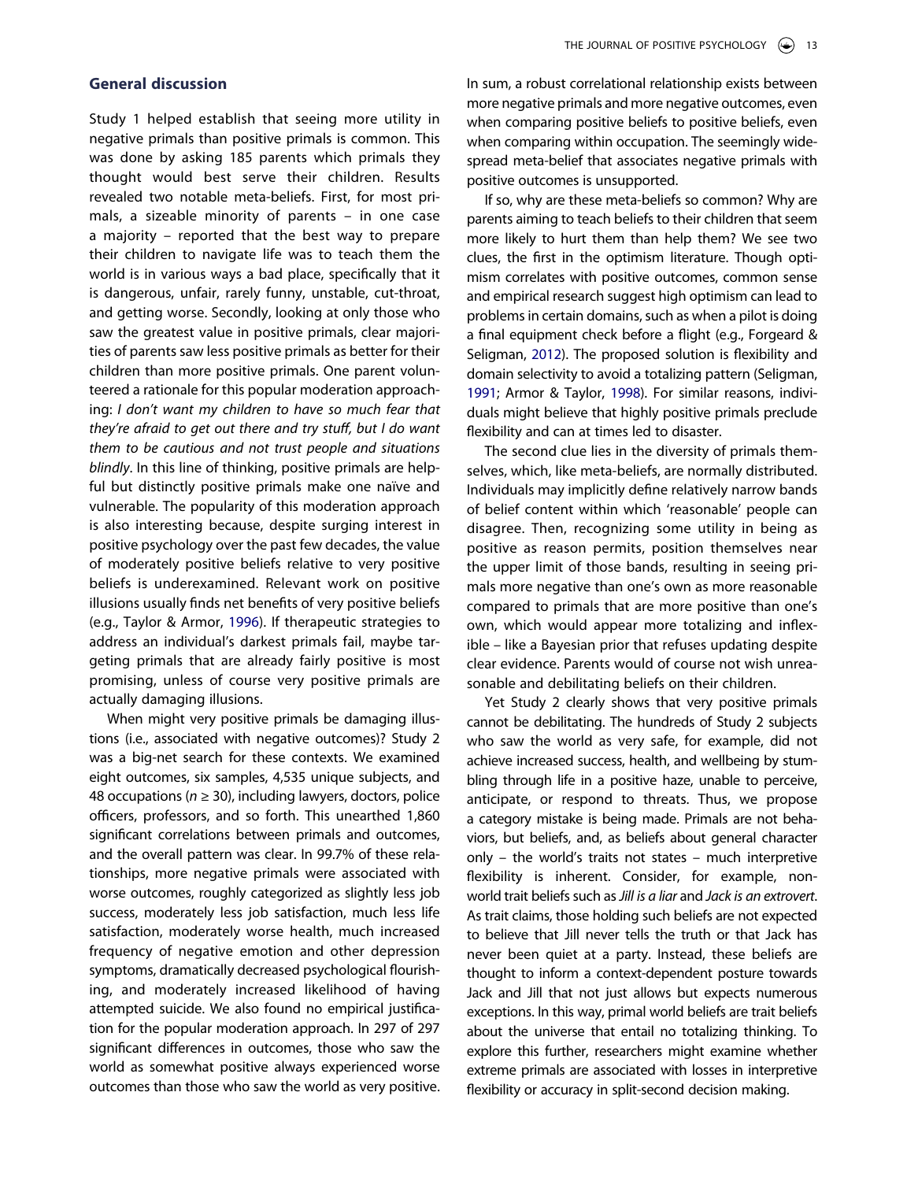# **General discussion**

Study 1 helped establish that seeing more utility in negative primals than positive primals is common. This was done by asking 185 parents which primals they thought would best serve their children. Results revealed two notable meta-beliefs. First, for most primals, a sizeable minority of parents – in one case a majority – reported that the best way to prepare their children to navigate life was to teach them the world is in various ways a bad place, specifically that it is dangerous, unfair, rarely funny, unstable, cut-throat, and getting worse. Secondly, looking at only those who saw the greatest value in positive primals, clear majorities of parents saw less positive primals as better for their children than more positive primals. One parent volunteered a rationale for this popular moderation approaching: I don't want my children to have so much fear that they're afraid to get out there and try stuff, but I do want them to be cautious and not trust people and situations blindly. In this line of thinking, positive primals are helpful but distinctly positive primals make one naïve and vulnerable. The popularity of this moderation approach is also interesting because, despite surging interest in positive psychology over the past few decades, the value of moderately positive beliefs relative to very positive beliefs is underexamined. Relevant work on positive illusions usually finds net benefits of very positive beliefs (e.g., Taylor & Armor, [1996](#page-15-23)). If therapeutic strategies to address an individual's darkest primals fail, maybe targeting primals that are already fairly positive is most promising, unless of course very positive primals are actually damaging illusions.

<span id="page-12-3"></span>When might very positive primals be damaging illustions (i.e., associated with negative outcomes)? Study 2 was a big-net search for these contexts. We examined eight outcomes, six samples, 4,535 unique subjects, and 48 occupations ( $n \geq 30$ ), including lawyers, doctors, police officers, professors, and so forth. This unearthed 1,860 significant correlations between primals and outcomes, and the overall pattern was clear. In 99.7% of these relationships, more negative primals were associated with worse outcomes, roughly categorized as slightly less job success, moderately less job satisfaction, much less life satisfaction, moderately worse health, much increased frequency of negative emotion and other depression symptoms, dramatically decreased psychological flourishing, and moderately increased likelihood of having attempted suicide. We also found no empirical justification for the popular moderation approach. In 297 of 297 significant differences in outcomes, those who saw the world as somewhat positive always experienced worse outcomes than those who saw the world as very positive. In sum, a robust correlational relationship exists between more negative primals and more negative outcomes, even when comparing positive beliefs to positive beliefs, even when comparing within occupation. The seemingly widespread meta-belief that associates negative primals with positive outcomes is unsupported.

If so, why are these meta-beliefs so common? Why are parents aiming to teach beliefs to their children that seem more likely to hurt them than help them? We see two clues, the first in the optimism literature. Though optimism correlates with positive outcomes, common sense and empirical research suggest high optimism can lead to problems in certain domains, such as when a pilot is doing a final equipment check before a flight (e.g., Forgeard & Seligman, [2012](#page-14-17)). The proposed solution is flexibility and domain selectivity to avoid a totalizing pattern (Seligman, [1991;](#page-15-24) Armor & Taylor, [1998](#page-14-18)). For similar reasons, individuals might believe that highly positive primals preclude flexibility and can at times led to disaster.

<span id="page-12-2"></span><span id="page-12-1"></span><span id="page-12-0"></span>The second clue lies in the diversity of primals themselves, which, like meta-beliefs, are normally distributed. Individuals may implicitly define relatively narrow bands of belief content within which 'reasonable' people can disagree. Then, recognizing some utility in being as positive as reason permits, position themselves near the upper limit of those bands, resulting in seeing primals more negative than one's own as more reasonable compared to primals that are more positive than one's own, which would appear more totalizing and inflexible – like a Bayesian prior that refuses updating despite clear evidence. Parents would of course not wish unreasonable and debilitating beliefs on their children.

Yet Study 2 clearly shows that very positive primals cannot be debilitating. The hundreds of Study 2 subjects who saw the world as very safe, for example, did not achieve increased success, health, and wellbeing by stumbling through life in a positive haze, unable to perceive, anticipate, or respond to threats. Thus, we propose a category mistake is being made. Primals are not behaviors, but beliefs, and, as beliefs about general character only – the world's traits not states – much interpretive flexibility is inherent. Consider, for example, nonworld trait beliefs such as Jill is a liar and Jack is an extrovert. As trait claims, those holding such beliefs are not expected to believe that Jill never tells the truth or that Jack has never been quiet at a party. Instead, these beliefs are thought to inform a context-dependent posture towards Jack and Jill that not just allows but expects numerous exceptions. In this way, primal world beliefs are trait beliefs about the universe that entail no totalizing thinking. To explore this further, researchers might examine whether extreme primals are associated with losses in interpretive flexibility or accuracy in split-second decision making.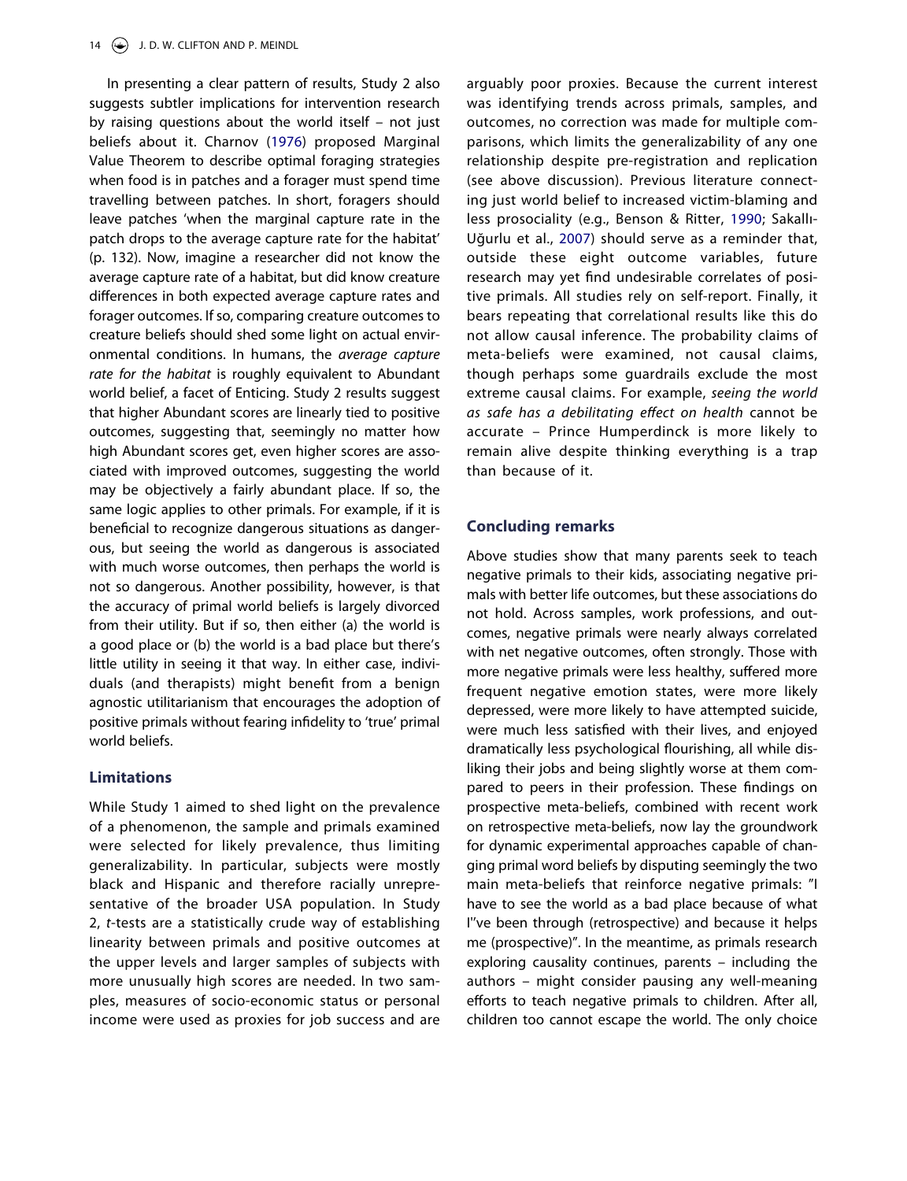<span id="page-13-1"></span>In presenting a clear pattern of results, Study 2 also suggests subtler implications for intervention research by raising questions about the world itself – not just beliefs about it. Charnov ([1976](#page-14-19)) proposed Marginal Value Theorem to describe optimal foraging strategies when food is in patches and a forager must spend time travelling between patches. In short, foragers should leave patches 'when the marginal capture rate in the patch drops to the average capture rate for the habitat' (p. 132). Now, imagine a researcher did not know the average capture rate of a habitat, but did know creature differences in both expected average capture rates and forager outcomes. If so, comparing creature outcomes to creature beliefs should shed some light on actual environmental conditions. In humans, the average capture rate for the habitat is roughly equivalent to Abundant world belief, a facet of Enticing. Study 2 results suggest that higher Abundant scores are linearly tied to positive outcomes, suggesting that, seemingly no matter how high Abundant scores get, even higher scores are associated with improved outcomes, suggesting the world may be objectively a fairly abundant place. If so, the same logic applies to other primals. For example, if it is beneficial to recognize dangerous situations as dangerous, but seeing the world as dangerous is associated with much worse outcomes, then perhaps the world is not so dangerous. Another possibility, however, is that the accuracy of primal world beliefs is largely divorced from their utility. But if so, then either (a) the world is a good place or (b) the world is a bad place but there's little utility in seeing it that way. In either case, individuals (and therapists) might benefit from a benign agnostic utilitarianism that encourages the adoption of positive primals without fearing infidelity to 'true' primal world beliefs.

### **Limitations**

While Study 1 aimed to shed light on the prevalence of a phenomenon, the sample and primals examined were selected for likely prevalence, thus limiting generalizability. In particular, subjects were mostly black and Hispanic and therefore racially unrepresentative of the broader USA population. In Study 2, t-tests are a statistically crude way of establishing linearity between primals and positive outcomes at the upper levels and larger samples of subjects with more unusually high scores are needed. In two samples, measures of socio-economic status or personal income were used as proxies for job success and are <span id="page-13-2"></span><span id="page-13-0"></span>arguably poor proxies. Because the current interest was identifying trends across primals, samples, and outcomes, no correction was made for multiple comparisons, which limits the generalizability of any one relationship despite pre-registration and replication (see above discussion). Previous literature connecting just world belief to increased victim-blaming and less prosociality (e.g., Benson & Ritter, [1990](#page-14-20); Sakallı-Uğurlu et al., [2007](#page-15-25)) should serve as a reminder that, outside these eight outcome variables, future research may yet find undesirable correlates of positive primals. All studies rely on self-report. Finally, it bears repeating that correlational results like this do not allow causal inference. The probability claims of meta-beliefs were examined, not causal claims, though perhaps some guardrails exclude the most extreme causal claims. For example, seeing the world as safe has a debilitating effect on health cannot be accurate – Prince Humperdinck is more likely to remain alive despite thinking everything is a trap than because of it.

### **Concluding remarks**

Above studies show that many parents seek to teach negative primals to their kids, associating negative primals with better life outcomes, but these associations do not hold. Across samples, work professions, and outcomes, negative primals were nearly always correlated with net negative outcomes, often strongly. Those with more negative primals were less healthy, suffered more frequent negative emotion states, were more likely depressed, were more likely to have attempted suicide, were much less satisfied with their lives, and enjoyed dramatically less psychological flourishing, all while disliking their jobs and being slightly worse at them compared to peers in their profession. These findings on prospective meta-beliefs, combined with recent work on retrospective meta-beliefs, now lay the groundwork for dynamic experimental approaches capable of changing primal word beliefs by disputing seemingly the two main meta-beliefs that reinforce negative primals: "I have to see the world as a bad place because of what I''ve been through (retrospective) and because it helps me (prospective)". In the meantime, as primals research exploring causality continues, parents – including the authors – might consider pausing any well-meaning efforts to teach negative primals to children. After all, children too cannot escape the world. The only choice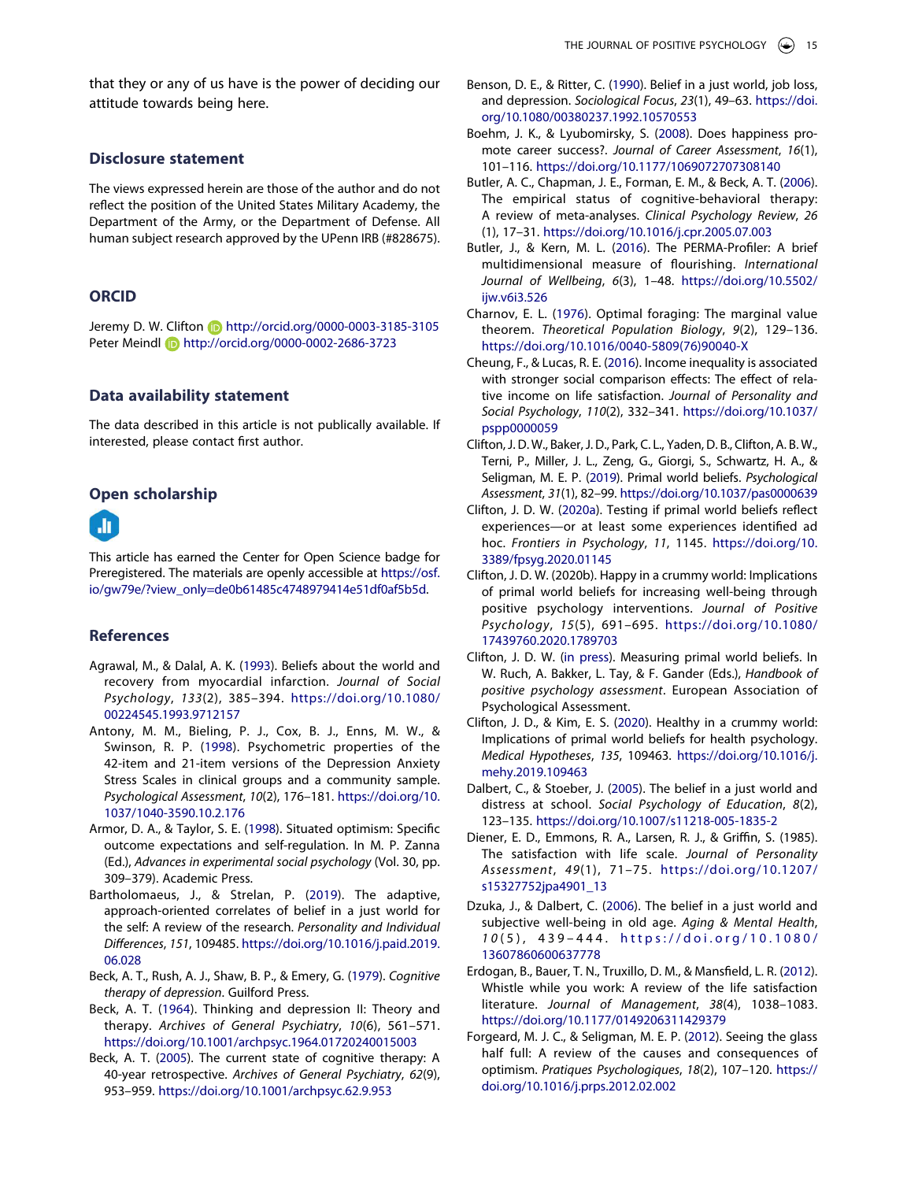that they or any of us have is the power of deciding our attitude towards being here.

### **Disclosure statement**

The views expressed herein are those of the author and do not reflect the position of the United States Military Academy, the Department of the Army, or the Department of Defense. All human subject research approved by the UPenn IRB (#828675).

### **ORCID**

Jeremy D. W. Clifton **http://orcid.org/0000-0003-3185-3105** Peter Meindl **b** http://orcid.org/0000-0002-2686-3723

### **Data availability statement**

The data described in this article is not publically available. If interested, please contact first author.

### **Open scholarship**



This article has earned the Center for Open Science badge for Preregistered. The materials are openly accessible at [https://osf.](https://osf.io/gw79e/?view_only=de0b61485c4748979414e51df0af5b5d)  [io/gw79e/?view\\_only=de0b61485c4748979414e51df0af5b5d](https://osf.io/gw79e/?view_only=de0b61485c4748979414e51df0af5b5d).

### **References**

- <span id="page-14-16"></span>Agrawal, M., & Dalal, A. K. ([1993\)](#page-11-0). Beliefs about the world and recovery from myocardial infarction. Journal of Social Psychology, 133(2), 385–394. [https://doi.org/10.1080/](https://doi.org/10.1080/00224545.1993.9712157) [00224545.1993.9712157](https://doi.org/10.1080/00224545.1993.9712157)
- <span id="page-14-12"></span>Antony, M. M., Bieling, P. J., Cox, B. J., Enns, M. W., & Swinson, R. P. [\(1998](#page-6-0)). Psychometric properties of the 42-item and 21-item versions of the Depression Anxiety Stress Scales in clinical groups and a community sample. Psychological Assessment, 10(2), 176–181. [https://doi.org/10.](https://doi.org/10.1037/1040-3590.10.2.176)  [1037/1040-3590.10.2.176](https://doi.org/10.1037/1040-3590.10.2.176)
- <span id="page-14-18"></span>Armor, D. A., & Taylor, S. E. ([1998](#page-12-0)). Situated optimism: Specific outcome expectations and self-regulation. In M. P. Zanna (Ed.), Advances in experimental social psychology (Vol. 30, pp. 309–379). Academic Press.
- <span id="page-14-2"></span>Bartholomaeus, J., & Strelan, P. ([2019\)](#page-1-0). The adaptive, approach-oriented correlates of belief in a just world for the self: A review of the research. Personality and Individual Differences, 151, 109485. [https://doi.org/10.1016/j.paid.2019.](https://doi.org/10.1016/j.paid.2019.06.028)  [06.028](https://doi.org/10.1016/j.paid.2019.06.028)
- <span id="page-14-9"></span>Beck, A. T., Rush, A. J., Shaw, B. P., & Emery, G. [\(1979\)](#page-2-2). Cognitive therapy of depression. Guilford Press.
- <span id="page-14-5"></span>Beck, A. T. ([1964\)](#page-1-1). Thinking and depression II: Theory and therapy. Archives of General Psychiatry, 10(6), 561–571. <https://doi.org/10.1001/archpsyc.1964.01720240015003>
- <span id="page-14-6"></span>Beck, A. T. [\(2005\)](#page-1-2). The current state of cognitive therapy: A 40-year retrospective. Archives of General Psychiatry, 62(9), 953–959. <https://doi.org/10.1001/archpsyc.62.9.953>
- <span id="page-14-20"></span>Benson, D. E., & Ritter, C. ([1990](#page-13-0)). Belief in a just world, job loss, and depression. Sociological Focus, 23(1), 49–63. [https://doi.](https://doi.org/10.1080/00380237.1992.10570553) [org/10.1080/00380237.1992.10570553](https://doi.org/10.1080/00380237.1992.10570553)
- <span id="page-14-13"></span>Boehm, J. K., & Lyubomirsky, S. [\(2008\)](#page-8-3). Does happiness promote career success?. Journal of Career Assessment, 16(1), 101–116. <https://doi.org/10.1177/1069072707308140>
- <span id="page-14-7"></span>Butler, A. C., Chapman, J. E., Forman, E. M., & Beck, A. T. ([2006](#page-1-2)). The empirical status of cognitive-behavioral therapy: A review of meta-analyses. Clinical Psychology Review, 26 (1), 17–31. <https://doi.org/10.1016/j.cpr.2005.07.003>
- <span id="page-14-11"></span>Butler, J., & Kern, M. L. ([2016](#page-6-1)). The PERMA-Profiler: A brief multidimensional measure of flourishing. International Journal of Wellbeing, 6(3), 1–48. [https://doi.org/10.5502/](https://doi.org/10.5502/ijw.v6i3.526) [ijw.v6i3.526](https://doi.org/10.5502/ijw.v6i3.526)
- <span id="page-14-19"></span>Charnov, E. L. ([1976\)](#page-13-1). Optimal foraging: The marginal value theorem. Theoretical Population Biology, 9(2), 129–136. [https://doi.org/10.1016/0040-5809\(76\)90040-X](https://doi.org/10.1016/0040-5809(76)90040-X)
- <span id="page-14-10"></span>Cheung, F., & Lucas, R. E. [\(2016\)](#page-2-3). Income inequality is associated with stronger social comparison effects: The effect of relative income on life satisfaction. Journal of Personality and Social Psychology, 110(2), 332–341. [https://doi.org/10.1037/](https://doi.org/10.1037/pspp0000059) [pspp0000059](https://doi.org/10.1037/pspp0000059)
- <span id="page-14-1"></span>Clifton, J. D. W., Baker, J. D., Park, C. L., Yaden, D. B., Clifton, A. B. W., Terni, P., Miller, J. L., Zeng, G., Giorgi, S., Schwartz, H. A., & Seligman, M. E. P. [\(2019](#page-0-1)). Primal world beliefs. Psychological Assessment, 31(1), 82–99. <https://doi.org/10.1037/pas0000639>
- <span id="page-14-8"></span>Clifton, J. D. W. ([2020a](#page-1-3)). Testing if primal world beliefs reflect experiences—or at least some experiences identified ad hoc. Frontiers in Psychology, 11, 1145. [https://doi.org/10.](https://doi.org/10.3389/fpsyg.2020.01145)  [3389/fpsyg.2020.01145](https://doi.org/10.3389/fpsyg.2020.01145)
- Clifton, J. D. W. (2020b). Happy in a crummy world: Implications of primal world beliefs for increasing well-being through positive psychology interventions. Journal of Positive Psychology, 15(5), 691–695. [https://doi.org/10.1080/](https://doi.org/10.1080/17439760.2020.1789703)  [17439760.2020.1789703](https://doi.org/10.1080/17439760.2020.1789703)
- <span id="page-14-15"></span>Clifton, J. D. W. [\(in press](#page-11-1)). Measuring primal world beliefs. In W. Ruch, A. Bakker, L. Tay, & F. Gander (Eds.), Handbook of positive psychology assessment. European Association of Psychological Assessment.
- <span id="page-14-0"></span>Clifton, J. D., & Kim, E. S. [\(2020\)](#page-0-2). Healthy in a crummy world: Implications of primal world beliefs for health psychology. Medical Hypotheses, 135, 109463. [https://doi.org/10.1016/j.](https://doi.org/10.1016/j.mehy.2019.109463) [mehy.2019.109463](https://doi.org/10.1016/j.mehy.2019.109463)
- <span id="page-14-3"></span>Dalbert, C., & Stoeber, J. ([2005](#page-1-0)). The belief in a just world and distress at school. Social Psychology of Education, 8(2), 123–135. <https://doi.org/10.1007/s11218-005-1835-2>
- Diener, E. D., Emmons, R. A., Larsen, R. J., & Griffin, S. (1985). The satisfaction with life scale. Journal of Personality Assessment, 49(1), 71–75. [https://doi.org/10.1207/](https://doi.org/10.1207/s15327752jpa4901_13) [s15327752jpa4901\\_13](https://doi.org/10.1207/s15327752jpa4901_13)
- <span id="page-14-4"></span>Dzuka, J., & Dalbert, C. [\(2006](#page-1-4)). The belief in a just world and subjective well-being in old age. Aging & Mental Health, 1 0 (5), 439–444. [https://doi.org/10.1080/](https://doi.org/10.1080/13607860600637778) [13607860600637778](https://doi.org/10.1080/13607860600637778)
- <span id="page-14-14"></span>Erdogan, B., Bauer, T. N., Truxillo, D. M., & Mansfield, L. R. ([2012](#page-11-2)). Whistle while you work: A review of the life satisfaction literature. Journal of Management, 38(4), 1038–1083. <https://doi.org/10.1177/0149206311429379>
- <span id="page-14-17"></span>Forgeard, M. J. C., & Seligman, M. E. P. [\(2012\)](#page-12-1). Seeing the glass half full: A review of the causes and consequences of optimism. Pratiques Psychologiques, 18(2), 107–120. [https://](https://doi.org/10.1016/j.prps.2012.02.002) [doi.org/10.1016/j.prps.2012.02.002](https://doi.org/10.1016/j.prps.2012.02.002)